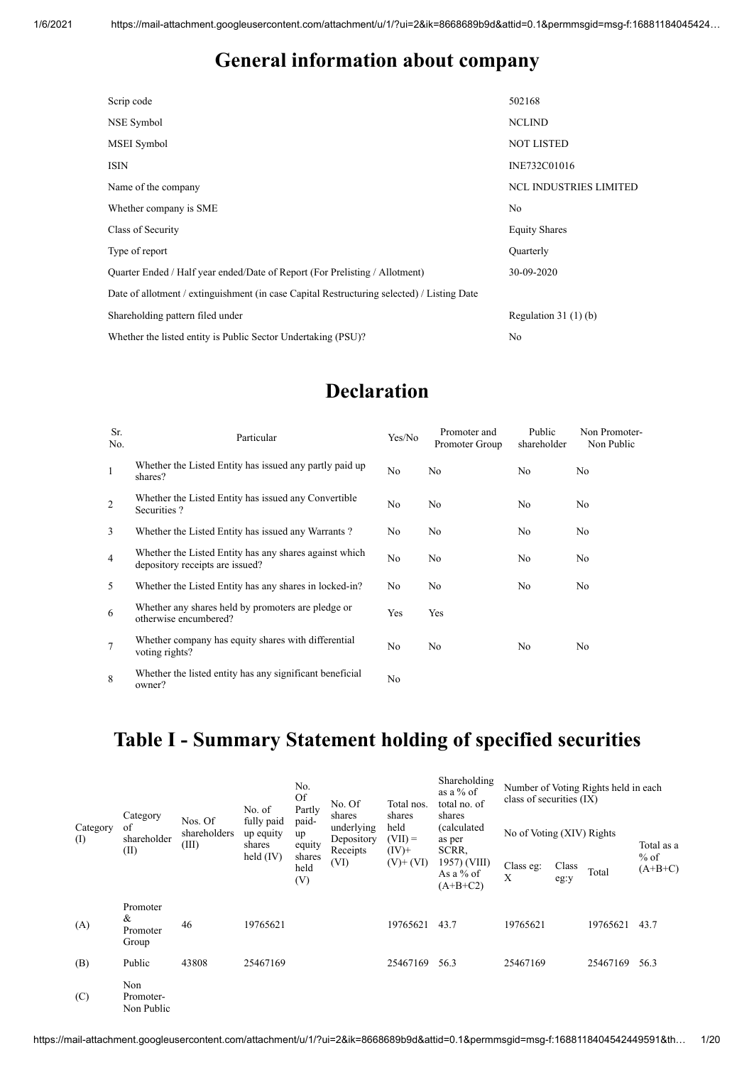#### **General information about company**

| Scrip code                                                                                 | 502168                        |
|--------------------------------------------------------------------------------------------|-------------------------------|
| NSE Symbol                                                                                 | <b>NCLIND</b>                 |
| MSEI Symbol                                                                                | <b>NOT LISTED</b>             |
| <b>ISIN</b>                                                                                | INE732C01016                  |
| Name of the company                                                                        | <b>NCL INDUSTRIES LIMITED</b> |
| Whether company is SME                                                                     | No                            |
| Class of Security                                                                          | <b>Equity Shares</b>          |
| Type of report                                                                             | Quarterly                     |
| Ouarter Ended / Half year ended/Date of Report (For Prelisting / Allotment)                | 30-09-2020                    |
| Date of allotment / extinguishment (in case Capital Restructuring selected) / Listing Date |                               |
| Shareholding pattern filed under                                                           | Regulation $31(1)(b)$         |
| Whether the listed entity is Public Sector Undertaking (PSU)?                              | No                            |

#### **Declaration**

| Sr.<br>No.     | Particular                                                                                | Yes/No | Promoter and<br>Promoter Group | Public<br>shareholder | Non Promoter-<br>Non Public |
|----------------|-------------------------------------------------------------------------------------------|--------|--------------------------------|-----------------------|-----------------------------|
| $\mathbf{1}$   | Whether the Listed Entity has issued any partly paid up<br>shares?                        | No     | No                             | No.                   | No                          |
| 2              | Whether the Listed Entity has issued any Convertible<br>Securities?                       | No     | No                             | No.                   | No                          |
| 3              | Whether the Listed Entity has issued any Warrants?                                        | No     | No                             | No                    | No                          |
| $\overline{4}$ | Whether the Listed Entity has any shares against which<br>depository receipts are issued? | No     | No                             | No                    | No                          |
| 5              | Whether the Listed Entity has any shares in locked-in?                                    | No.    | No                             | No.                   | No                          |
| -6             | Whether any shares held by promoters are pledge or<br>otherwise encumbered?               | Yes    | Yes                            |                       |                             |
| 7              | Whether company has equity shares with differential<br>voting rights?                     | No     | No                             | No.                   | No                          |
| 8              | Whether the listed entity has any significant beneficial<br>owner?                        | No     |                                |                       |                             |

#### **Table I - Summary Statement holding of specified securities**

|                       | Category                           |                                  | No. of                                           | No.<br><b>Of</b><br>Partly                     | No. Of<br>shares                             | Total nos.<br>shares          | Shareholding<br>as a % of<br>total no. of<br>shares | class of securities $(IX)$ |               | Number of Voting Rights held in each |                     |
|-----------------------|------------------------------------|----------------------------------|--------------------------------------------------|------------------------------------------------|----------------------------------------------|-------------------------------|-----------------------------------------------------|----------------------------|---------------|--------------------------------------|---------------------|
| Category<br>$\rm (I)$ | of<br>shareholder<br>(II)          | Nos. Of<br>shareholders<br>(III) | fully paid<br>up equity<br>shares<br>held $(IV)$ | paid-<br>up<br>equity<br>shares<br>held<br>(V) | underlying<br>Depository<br>Receipts<br>(VI) | held<br>$(VII) =$<br>$(IV)^+$ | (calculated<br>as per<br>SCRR,                      | No of Voting (XIV) Rights  |               |                                      | Total as a          |
|                       |                                    |                                  |                                                  |                                                |                                              | $(V)+(VI)$                    | 1957) (VIII)<br>As a % of<br>$(A+B+C2)$             | Class eg:<br>X             | Class<br>eg:y | Total                                | $%$ of<br>$(A+B+C)$ |
| (A)                   | Promoter<br>&<br>Promoter<br>Group | 46                               | 19765621                                         |                                                |                                              | 19765621                      | 43.7                                                | 19765621                   |               | 19765621                             | 43.7                |
| (B)                   | Public                             | 43808                            | 25467169                                         |                                                |                                              | 25467169                      | 56.3                                                | 25467169                   |               | 25467169                             | 56.3                |
| (C)                   | Non<br>Promoter-<br>Non Public     |                                  |                                                  |                                                |                                              |                               |                                                     |                            |               |                                      |                     |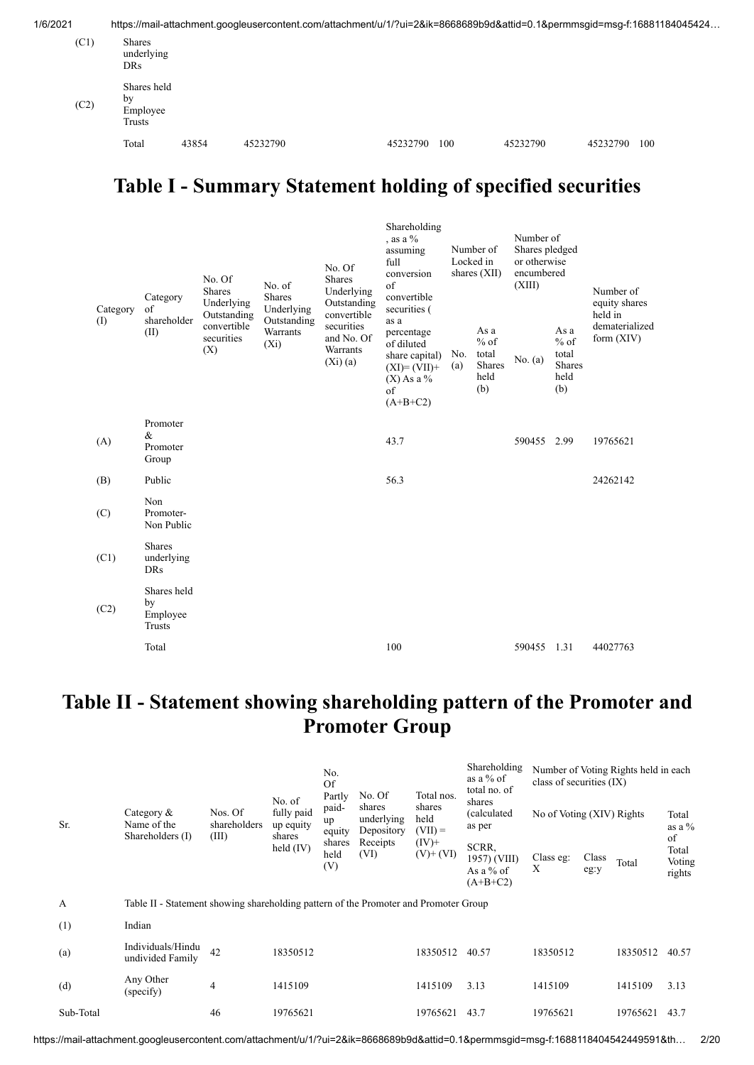| 1/6/2021 |                                         |       | https://mail-attachment.googleusercontent.com/attachment/u/1/?ui=2&ik=8668689b9d&attid=0.1&permmsgid=msg-f:16881184045424 |          |     |          |          |     |
|----------|-----------------------------------------|-------|---------------------------------------------------------------------------------------------------------------------------|----------|-----|----------|----------|-----|
| (C1)     | Shares<br>underlying<br><b>DRs</b>      |       |                                                                                                                           |          |     |          |          |     |
| (C2)     | Shares held<br>by<br>Employee<br>Trusts |       |                                                                                                                           |          |     |          |          |     |
|          | Total                                   | 43854 | 45232790                                                                                                                  | 45232790 | 100 | 45232790 | 45232790 | 100 |

#### **Table I - Summary Statement holding of specified securities**

| Category | Category<br>of<br>shareholder                  | No. Of<br>No. of<br><b>Shares</b><br><b>Shares</b><br>Underlying<br>Underlying<br>Outstanding<br>Outstanding |                     | No. Of<br><b>Shares</b><br>Underlying<br>Outstanding<br>convertible | Shareholding<br>, as a $\%$<br>assuming<br>full<br>conversion<br>$\sigma$ f<br>convertible<br>securities ( | Number of<br>Locked in<br>shares (XII) |                                                  | Number of<br>Shares pledged<br>or otherwise<br>encumbered<br>(XIII) |                                                  | Number of<br>equity shares<br>held in |  |
|----------|------------------------------------------------|--------------------------------------------------------------------------------------------------------------|---------------------|---------------------------------------------------------------------|------------------------------------------------------------------------------------------------------------|----------------------------------------|--------------------------------------------------|---------------------------------------------------------------------|--------------------------------------------------|---------------------------------------|--|
| (I)      | (II)                                           | convertible<br>securities<br>(X)                                                                             | Warrants<br>$(X_i)$ | securities<br>and No. Of<br>Warrants<br>(Xi)(a)                     | as a<br>percentage<br>of diluted<br>share capital)<br>$(XI)=(VII)+$<br>$(X)$ As a %<br>of<br>$(A+B+C2)$    | No.<br>(a)                             | As a<br>$%$ of<br>total<br>Shares<br>held<br>(b) | No. (a)                                                             | As a<br>$%$ of<br>total<br>Shares<br>held<br>(b) | dematerialized<br>form $(XIV)$        |  |
| (A)      | Promoter<br>&<br>Promoter<br>Group             |                                                                                                              |                     |                                                                     | 43.7                                                                                                       |                                        |                                                  | 590455 2.99                                                         |                                                  | 19765621                              |  |
| (B)      | Public                                         |                                                                                                              |                     |                                                                     | 56.3                                                                                                       |                                        |                                                  |                                                                     |                                                  | 24262142                              |  |
| (C)      | Non<br>Promoter-<br>Non Public                 |                                                                                                              |                     |                                                                     |                                                                                                            |                                        |                                                  |                                                                     |                                                  |                                       |  |
| (C1)     | <b>Shares</b><br>underlying<br><b>DRs</b>      |                                                                                                              |                     |                                                                     |                                                                                                            |                                        |                                                  |                                                                     |                                                  |                                       |  |
| (C2)     | Shares held<br>by<br>Employee<br><b>Trusts</b> |                                                                                                              |                     |                                                                     |                                                                                                            |                                        |                                                  |                                                                     |                                                  |                                       |  |
|          | Total                                          |                                                                                                              |                     |                                                                     | 100                                                                                                        |                                        |                                                  | 590455 1.31                                                         |                                                  | 44027763                              |  |

### **Table II - Statement showing shareholding pattern of the Promoter and Promoter Group**

| Sr.       | Category $\&$<br>Name of the<br>Shareholders (I)                                     | Nos. Of<br>shareholders<br>(III) | No. of<br>fully paid<br>up equity<br>shares<br>held $(IV)$ | No.<br>Of<br>Partly<br>paid-<br>up<br>equity<br>shares<br>held<br>(V) | No. Of<br>shares<br>underlying<br>Depository<br>Receipts<br>(VI) | Total nos.<br>shares<br>held<br>$(VII) =$<br>$(IV)^+$<br>$(V)$ + $(VI)$ | Shareholding<br>as a $%$ of<br>total no. of<br>shares<br>(calculated<br>as per<br>SCRR.<br>1957) (VIII)<br>As a % of | class of securities (IX)<br>No of Voting (XIV) Rights<br>Class eg:<br>X | Class<br>eg:y | Number of Voting Rights held in each<br>Total | Total<br>as a $\%$<br>of<br>Total<br>Voting<br>rights |
|-----------|--------------------------------------------------------------------------------------|----------------------------------|------------------------------------------------------------|-----------------------------------------------------------------------|------------------------------------------------------------------|-------------------------------------------------------------------------|----------------------------------------------------------------------------------------------------------------------|-------------------------------------------------------------------------|---------------|-----------------------------------------------|-------------------------------------------------------|
|           |                                                                                      |                                  |                                                            |                                                                       |                                                                  |                                                                         | $(A+B+C2)$                                                                                                           |                                                                         |               |                                               |                                                       |
| A         | Table II - Statement showing shareholding pattern of the Promoter and Promoter Group |                                  |                                                            |                                                                       |                                                                  |                                                                         |                                                                                                                      |                                                                         |               |                                               |                                                       |
| (1)       | Indian                                                                               |                                  |                                                            |                                                                       |                                                                  |                                                                         |                                                                                                                      |                                                                         |               |                                               |                                                       |
| (a)       | Individuals/Hindu<br>undivided Family                                                | 42                               | 18350512                                                   |                                                                       |                                                                  | 18350512                                                                | 40.57                                                                                                                | 18350512                                                                |               | 18350512                                      | 40.57                                                 |
| (d)       | Any Other<br>(specify)                                                               | $\overline{4}$                   | 1415109                                                    |                                                                       |                                                                  | 1415109                                                                 | 3.13                                                                                                                 | 1415109                                                                 |               | 1415109                                       | 3.13                                                  |
| Sub-Total |                                                                                      | 46                               | 19765621                                                   |                                                                       |                                                                  | 19765621                                                                | 43.7                                                                                                                 | 19765621                                                                |               | 19765621                                      | 43.7                                                  |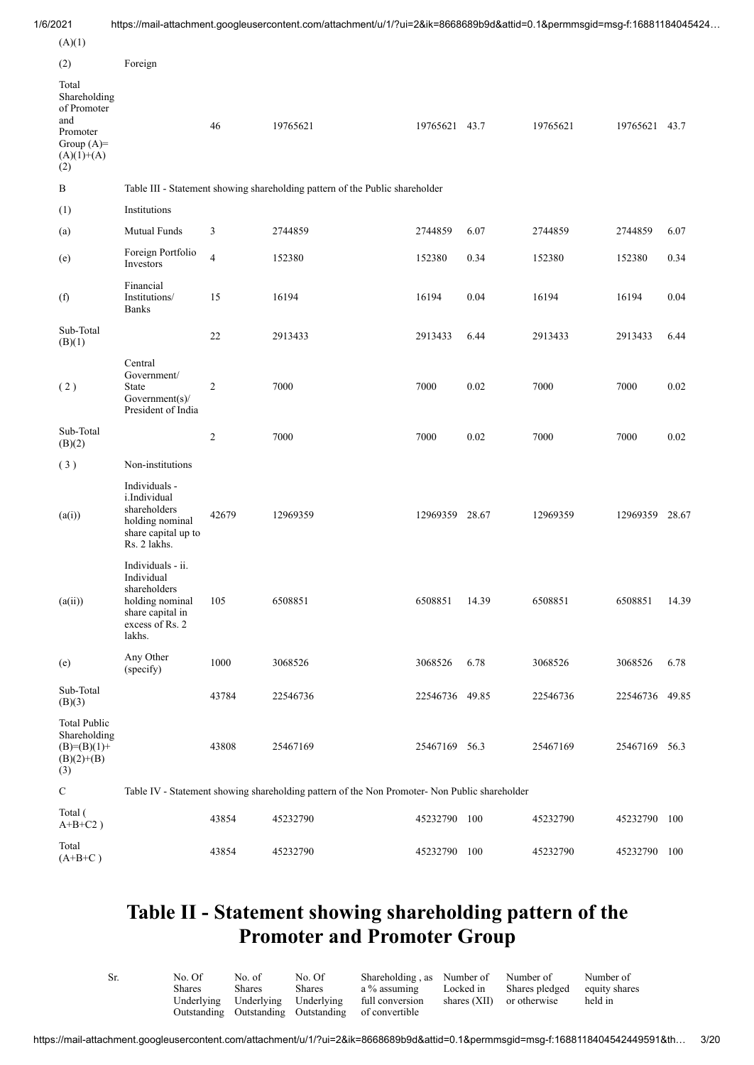| 1/6/2021                                                                                       |                                                                                                                     |                | https://mail-attachment.googleusercontent.com/attachment/u/1/?ui=2&ik=8668689b9d&attid=0.1&permmsgid=msg-f:16881184045424 |                |       |          |                |       |
|------------------------------------------------------------------------------------------------|---------------------------------------------------------------------------------------------------------------------|----------------|---------------------------------------------------------------------------------------------------------------------------|----------------|-------|----------|----------------|-------|
| (A)(1)                                                                                         |                                                                                                                     |                |                                                                                                                           |                |       |          |                |       |
| (2)                                                                                            | Foreign                                                                                                             |                |                                                                                                                           |                |       |          |                |       |
| Total<br>Shareholding<br>of Promoter<br>and<br>Promoter<br>Group $(A)=$<br>$(A)(1)+(A)$<br>(2) |                                                                                                                     | 46             | 19765621                                                                                                                  | 19765621 43.7  |       | 19765621 | 19765621 43.7  |       |
| $\, {\bf B}$                                                                                   |                                                                                                                     |                | Table III - Statement showing shareholding pattern of the Public shareholder                                              |                |       |          |                |       |
| (1)                                                                                            | Institutions                                                                                                        |                |                                                                                                                           |                |       |          |                |       |
| (a)                                                                                            | Mutual Funds                                                                                                        | 3              | 2744859                                                                                                                   | 2744859        | 6.07  | 2744859  | 2744859        | 6.07  |
| (e)                                                                                            | Foreign Portfolio<br>Investors                                                                                      | $\overline{4}$ | 152380                                                                                                                    | 152380         | 0.34  | 152380   | 152380         | 0.34  |
| (f)                                                                                            | Financial<br>Institutions/<br><b>Banks</b>                                                                          | 15             | 16194                                                                                                                     | 16194          | 0.04  | 16194    | 16194          | 0.04  |
| Sub-Total<br>(B)(1)                                                                            |                                                                                                                     | $22\,$         | 2913433                                                                                                                   | 2913433        | 6.44  | 2913433  | 2913433        | 6.44  |
| (2)                                                                                            | Central<br>Government/<br><b>State</b><br>Government(s)/<br>President of India                                      | $\overline{c}$ | 7000                                                                                                                      | 7000           | 0.02  | 7000     | 7000           | 0.02  |
| Sub-Total<br>(B)(2)                                                                            |                                                                                                                     | $\overline{c}$ | 7000                                                                                                                      | 7000           | 0.02  | 7000     | 7000           | 0.02  |
| (3)                                                                                            | Non-institutions                                                                                                    |                |                                                                                                                           |                |       |          |                |       |
| (a(i))                                                                                         | Individuals -<br>i.Individual<br>shareholders<br>holding nominal<br>share capital up to<br>Rs. 2 lakhs.             | 42679          | 12969359                                                                                                                  | 12969359 28.67 |       | 12969359 | 12969359 28.67 |       |
| (a(ii))                                                                                        | Individuals - ii.<br>Individual<br>shareholders<br>holding nominal<br>share capital in<br>excess of Rs. 2<br>lakhs. | 105            | 6508851                                                                                                                   | 6508851        | 14.39 | 6508851  | 6508851        | 14.39 |
| (e)                                                                                            | Any Other<br>(specify)                                                                                              | 1000           | 3068526                                                                                                                   | 3068526        | 6.78  | 3068526  | 3068526        | 6.78  |
| Sub-Total<br>(B)(3)                                                                            |                                                                                                                     | 43784          | 22546736                                                                                                                  | 22546736 49.85 |       | 22546736 | 22546736 49.85 |       |
| <b>Total Public</b><br>Shareholding<br>$(B)= (B)(1) +$<br>$(B)(2)+(B)$<br>(3)                  |                                                                                                                     | 43808          | 25467169                                                                                                                  | 25467169 56.3  |       | 25467169 | 25467169 56.3  |       |
| ${\bf C}$                                                                                      |                                                                                                                     |                | Table IV - Statement showing shareholding pattern of the Non Promoter- Non Public shareholder                             |                |       |          |                |       |
| Total (<br>$A+B+C2$ )                                                                          |                                                                                                                     | 43854          | 45232790                                                                                                                  | 45232790 100   |       | 45232790 | 45232790 100   |       |
| Total<br>$(A+B+C)$                                                                             |                                                                                                                     | 43854          | 45232790                                                                                                                  | 45232790 100   |       | 45232790 | 45232790 100   |       |

#### **Table II - Statement showing shareholding pattern of the Promoter and Promoter Group**

| Sr. | No. Of | No. of                           | No. Of | Shareholding, as Number of Number of               |              |                | Number of     |
|-----|--------|----------------------------------|--------|----------------------------------------------------|--------------|----------------|---------------|
|     | Shares | Shares                           | Shares | a % assuming                                       | Locked in    | Shares pledged | equity shares |
|     |        | Underlying Underlying Underlying |        | full conversion                                    | shares (XII) | or otherwise   | held in       |
|     |        |                                  |        | Outstanding Outstanding Outstanding of convertible |              |                |               |
|     |        |                                  |        |                                                    |              |                |               |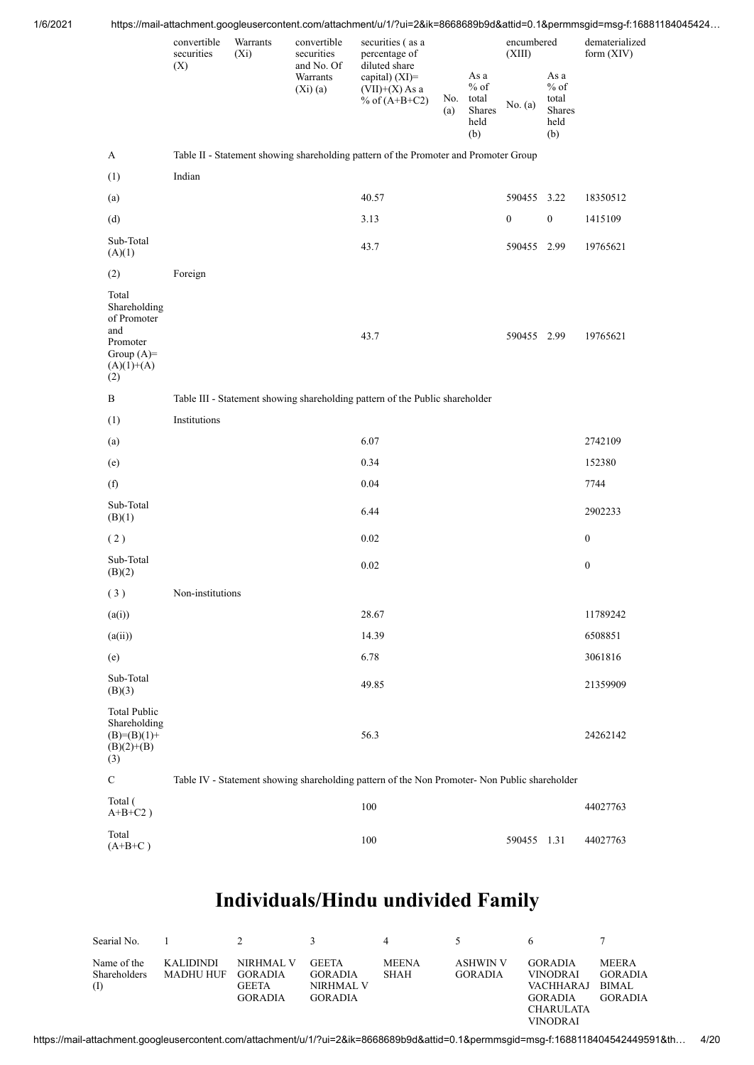| 1/6/2021 |                                                                                                |                                  |                     |                                                                   |                                                                                                             |     |                                               |                                 |                                           | https://mail-attachment.googleusercontent.com/attachment/u/1/?ui=2&ik=8668689b9d&attid=0.1&permmsgid=msg-f:16881184045424 |
|----------|------------------------------------------------------------------------------------------------|----------------------------------|---------------------|-------------------------------------------------------------------|-------------------------------------------------------------------------------------------------------------|-----|-----------------------------------------------|---------------------------------|-------------------------------------------|---------------------------------------------------------------------------------------------------------------------------|
|          |                                                                                                | convertible<br>securities<br>(X) | Warrants<br>$(X_i)$ | convertible<br>securities<br>and No. Of<br>Warrants<br>$(Xi)$ (a) | securities (as a<br>percentage of<br>diluted share<br>capital) (XI)=<br>$(VII)+(X)$ As a<br>% of $(A+B+C2)$ | (a) | As a<br>$%$ of<br>No. total<br>Shares<br>held | encumbered<br>(XIII)<br>No. (a) | As a<br>$%$ of<br>total<br>Shares<br>held | dematerialized<br>form (XIV)                                                                                              |
|          |                                                                                                |                                  |                     |                                                                   |                                                                                                             |     | (b)                                           |                                 | (b)                                       |                                                                                                                           |
|          | $\mathbf A$                                                                                    |                                  |                     |                                                                   | Table II - Statement showing shareholding pattern of the Promoter and Promoter Group                        |     |                                               |                                 |                                           |                                                                                                                           |
|          | (1)                                                                                            | Indian                           |                     |                                                                   |                                                                                                             |     |                                               |                                 |                                           |                                                                                                                           |
|          | (a)                                                                                            |                                  |                     |                                                                   | 40.57                                                                                                       |     |                                               | 590455 3.22                     |                                           | 18350512                                                                                                                  |
|          | (d)                                                                                            |                                  |                     |                                                                   | 3.13                                                                                                        |     |                                               | $\boldsymbol{0}$                | $\boldsymbol{0}$                          | 1415109                                                                                                                   |
|          | Sub-Total<br>(A)(1)                                                                            |                                  |                     |                                                                   | 43.7                                                                                                        |     |                                               | 590455 2.99                     |                                           | 19765621                                                                                                                  |
|          | (2)                                                                                            | Foreign                          |                     |                                                                   |                                                                                                             |     |                                               |                                 |                                           |                                                                                                                           |
|          | Total<br>Shareholding<br>of Promoter<br>and<br>Promoter<br>Group $(A)=$<br>$(A)(1)+(A)$<br>(2) |                                  |                     |                                                                   | 43.7                                                                                                        |     |                                               | 590455 2.99                     |                                           | 19765621                                                                                                                  |
|          | $\, {\bf B}$                                                                                   |                                  |                     |                                                                   | Table III - Statement showing shareholding pattern of the Public shareholder                                |     |                                               |                                 |                                           |                                                                                                                           |
|          | (1)                                                                                            | Institutions                     |                     |                                                                   |                                                                                                             |     |                                               |                                 |                                           |                                                                                                                           |
|          | (a)                                                                                            |                                  |                     |                                                                   | 6.07                                                                                                        |     |                                               |                                 |                                           | 2742109                                                                                                                   |
|          | (e)                                                                                            |                                  |                     |                                                                   | 0.34                                                                                                        |     |                                               |                                 |                                           | 152380                                                                                                                    |
|          | (f)                                                                                            |                                  |                     |                                                                   | 0.04                                                                                                        |     |                                               |                                 |                                           | 7744                                                                                                                      |
|          | Sub-Total<br>(B)(1)                                                                            |                                  |                     |                                                                   | 6.44                                                                                                        |     |                                               |                                 |                                           | 2902233                                                                                                                   |
|          | (2)                                                                                            |                                  |                     |                                                                   | 0.02                                                                                                        |     |                                               |                                 |                                           | $\boldsymbol{0}$                                                                                                          |
|          | Sub-Total<br>(B)(2)                                                                            |                                  |                     |                                                                   | 0.02                                                                                                        |     |                                               |                                 |                                           | $\boldsymbol{0}$                                                                                                          |
|          | (3)                                                                                            | Non-institutions                 |                     |                                                                   |                                                                                                             |     |                                               |                                 |                                           |                                                                                                                           |
|          | (a(i))                                                                                         |                                  |                     |                                                                   | 28.67                                                                                                       |     |                                               |                                 |                                           | 11789242                                                                                                                  |
|          | (a(ii))                                                                                        |                                  |                     |                                                                   | 14.39                                                                                                       |     |                                               |                                 |                                           | 6508851                                                                                                                   |
|          | (e)                                                                                            |                                  |                     |                                                                   | 6.78                                                                                                        |     |                                               |                                 |                                           | 3061816                                                                                                                   |
|          | Sub-Total<br>(B)(3)                                                                            |                                  |                     |                                                                   | 49.85                                                                                                       |     |                                               |                                 |                                           | 21359909                                                                                                                  |
|          | <b>Total Public</b><br>Shareholding<br>$(B)=(B)(1)+$<br>$(B)(2)+(B)$<br>(3)                    |                                  |                     |                                                                   | 56.3                                                                                                        |     |                                               |                                 |                                           | 24262142                                                                                                                  |
|          | ${\bf C}$                                                                                      |                                  |                     |                                                                   | Table IV - Statement showing shareholding pattern of the Non Promoter- Non Public shareholder               |     |                                               |                                 |                                           |                                                                                                                           |
|          | Total (<br>$A+B+C2$ )                                                                          |                                  |                     |                                                                   | 100                                                                                                         |     |                                               |                                 |                                           | 44027763                                                                                                                  |
|          | Total<br>$(A+B+C)$                                                                             |                                  |                     |                                                                   | 100                                                                                                         |     |                                               | 590455 1.31                     |                                           | 44027763                                                                                                                  |
|          |                                                                                                |                                  |                     |                                                                   |                                                                                                             |     |                                               |                                 |                                           |                                                                                                                           |

|                                             | Searial No. 1 2               |                                                        | $\mathcal{R}$                                          | 4                           | $\sim$                            |                                                                                           |                                                           |
|---------------------------------------------|-------------------------------|--------------------------------------------------------|--------------------------------------------------------|-----------------------------|-----------------------------------|-------------------------------------------------------------------------------------------|-----------------------------------------------------------|
| Name of the<br><b>Shareholders</b><br>$($ I | KALIDINDI<br><b>MADHU HUF</b> | NIRHMAL V<br>GORADIA<br><b>GEETA</b><br><b>GORADIA</b> | <b>GEETA</b><br>GORADIA<br>NIRHMAL V<br><b>GORADIA</b> | <b>MEENA</b><br><b>SHAH</b> | <b>ASHWIN V</b><br><b>GORADIA</b> | <b>GORADIA</b><br><b>VINODRAI</b><br>VACHHARAJ<br>GORADIA<br><b>CHARULATA</b><br>VINODRAI | <b>MEERA</b><br><b>GORADIA</b><br>BIMAL<br><b>GORADIA</b> |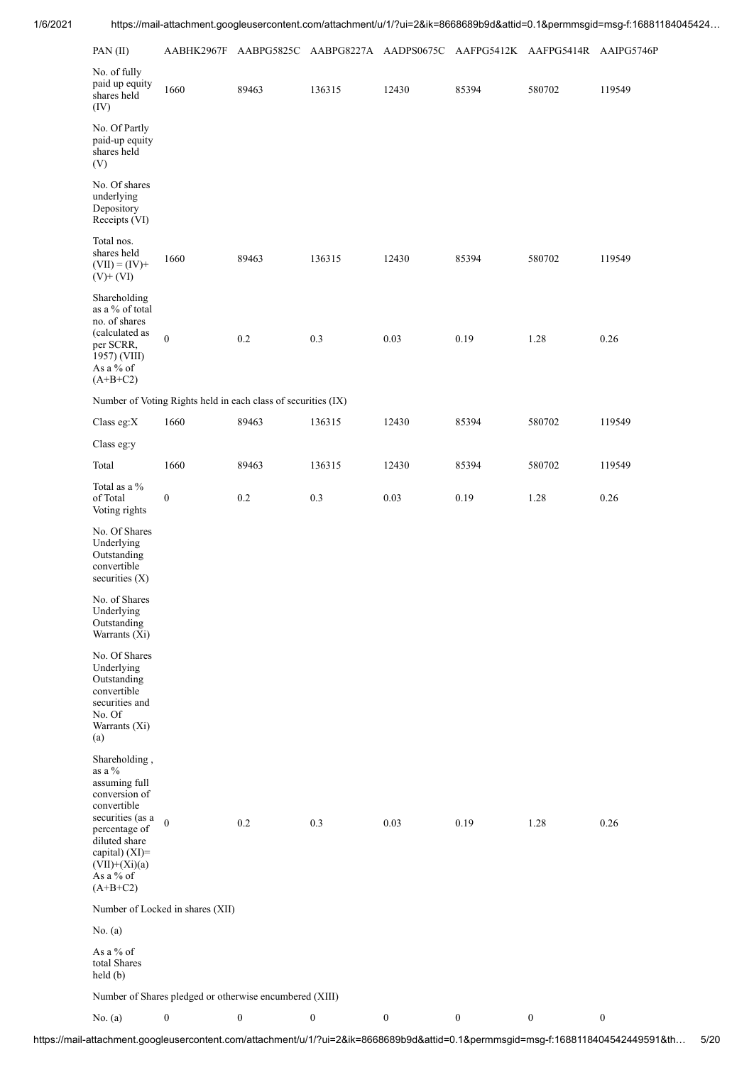| PAN (II)                                                                                                                                                                                          | AABHK2967F                       |                                                               | AABPG5825C AABPG8227A AADPS0675C |                  |                  | AAFPG5412K AAFPG5414R AAIPG5746P |                  |
|---------------------------------------------------------------------------------------------------------------------------------------------------------------------------------------------------|----------------------------------|---------------------------------------------------------------|----------------------------------|------------------|------------------|----------------------------------|------------------|
| No. of fully<br>paid up equity<br>shares held<br>(IV)                                                                                                                                             | 1660                             | 89463                                                         | 136315                           | 12430            | 85394            | 580702                           | 119549           |
| No. Of Partly<br>paid-up equity<br>shares held<br>(V)                                                                                                                                             |                                  |                                                               |                                  |                  |                  |                                  |                  |
| No. Of shares<br>underlying<br>Depository<br>Receipts (VI)                                                                                                                                        |                                  |                                                               |                                  |                  |                  |                                  |                  |
| Total nos.<br>shares held<br>$(VII) = (IV) +$<br>$(V)$ + $(VI)$                                                                                                                                   | 1660                             | 89463                                                         | 136315                           | 12430            | 85394            | 580702                           | 119549           |
| Shareholding<br>as a % of total<br>no. of shares<br>(calculated as<br>per SCRR,<br>1957) (VIII)<br>As a % of<br>$(A+B+C2)$                                                                        | $\boldsymbol{0}$                 | 0.2                                                           | 0.3                              | 0.03             | 0.19             | 1.28                             | 0.26             |
|                                                                                                                                                                                                   |                                  | Number of Voting Rights held in each class of securities (IX) |                                  |                  |                  |                                  |                  |
| Class eg:X                                                                                                                                                                                        | 1660                             | 89463                                                         | 136315                           | 12430            | 85394            | 580702                           | 119549           |
| Class eg:y                                                                                                                                                                                        |                                  |                                                               |                                  |                  |                  |                                  |                  |
| Total                                                                                                                                                                                             | 1660                             | 89463                                                         | 136315                           | 12430            | 85394            | 580702                           | 119549           |
| Total as a %<br>of Total<br>Voting rights                                                                                                                                                         | $\boldsymbol{0}$                 | 0.2                                                           | 0.3                              | 0.03             | 0.19             | 1.28                             | 0.26             |
| No. Of Shares<br>Underlying<br>Outstanding<br>convertible<br>securities $(X)$<br>No. of Shares                                                                                                    |                                  |                                                               |                                  |                  |                  |                                  |                  |
| Underlying<br>Outstanding<br>Warrants (Xi)                                                                                                                                                        |                                  |                                                               |                                  |                  |                  |                                  |                  |
| No. Of Shares<br>Underlying<br>Outstanding<br>convertible<br>securities and<br>No. Of<br>Warrants (Xi)<br>(a)                                                                                     |                                  |                                                               |                                  |                  |                  |                                  |                  |
| Shareholding,<br>as a $\%$<br>assuming full<br>conversion of<br>convertible<br>securities (as a<br>percentage of<br>diluted share<br>capital) (XI)=<br>$(VII)+(Xi)(a)$<br>As a % of<br>$(A+B+C2)$ | $\boldsymbol{0}$                 | $0.2\,$                                                       | $0.3\,$                          | 0.03             | 0.19             | 1.28                             | 0.26             |
|                                                                                                                                                                                                   | Number of Locked in shares (XII) |                                                               |                                  |                  |                  |                                  |                  |
| No. (a)                                                                                                                                                                                           |                                  |                                                               |                                  |                  |                  |                                  |                  |
| As a % of<br>total Shares<br>$\text{held}(\mathbf{b})$                                                                                                                                            |                                  |                                                               |                                  |                  |                  |                                  |                  |
|                                                                                                                                                                                                   |                                  | Number of Shares pledged or otherwise encumbered (XIII)       |                                  |                  |                  |                                  |                  |
| No. (a)                                                                                                                                                                                           | $\boldsymbol{0}$                 | $\boldsymbol{0}$                                              | $\boldsymbol{0}$                 | $\boldsymbol{0}$ | $\boldsymbol{0}$ | $\boldsymbol{0}$                 | $\boldsymbol{0}$ |

https://mail-attachment.googleusercontent.com/attachment/u/1/?ui=2&ik=8668689b9d&attid=0.1&permmsgid=msg-f:1688118404542449591&th… 5/20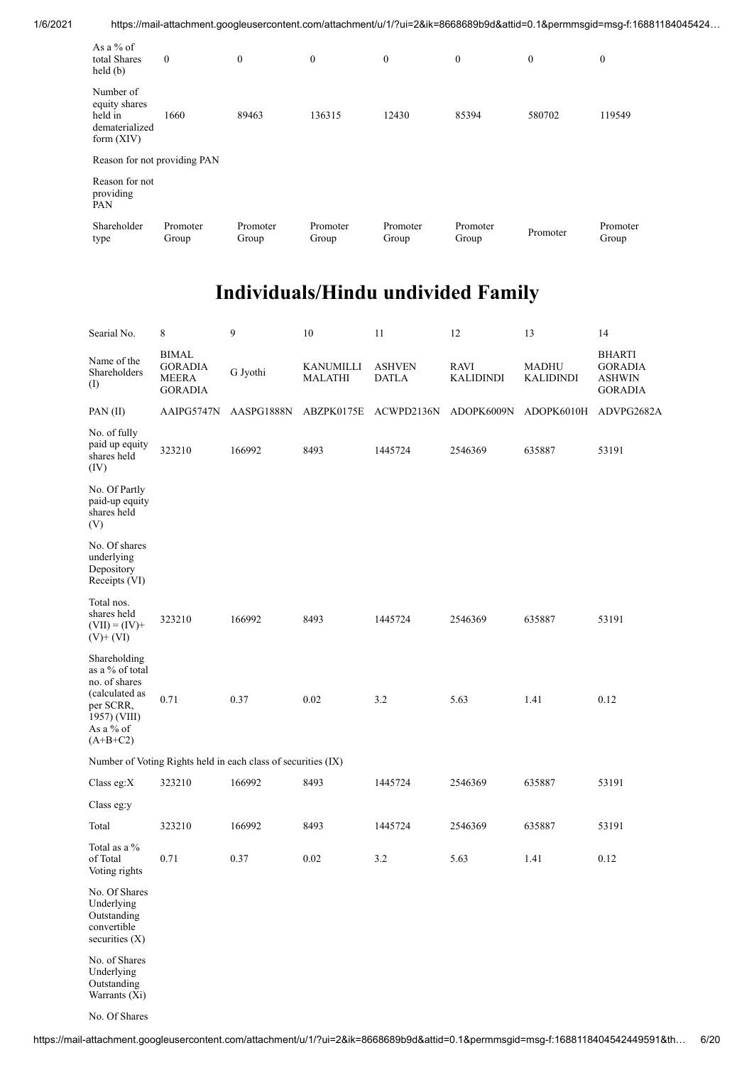| As a $%$ of<br>total Shares<br>$\text{held}(\text{b})$                  | $\mathbf{0}$      | $\mathbf{0}$      | $\mathbf{0}$      | $\mathbf{0}$      | $\mathbf{0}$      | $\mathbf{0}$ | $\boldsymbol{0}$  |
|-------------------------------------------------------------------------|-------------------|-------------------|-------------------|-------------------|-------------------|--------------|-------------------|
| Number of<br>equity shares<br>held in<br>dematerialized<br>form $(XIV)$ | 1660              | 89463             | 136315            | 12430             | 85394             | 580702       | 119549            |
| Reason for not providing PAN                                            |                   |                   |                   |                   |                   |              |                   |
| Reason for not<br>providing<br>PAN                                      |                   |                   |                   |                   |                   |              |                   |
| Shareholder<br>type                                                     | Promoter<br>Group | Promoter<br>Group | Promoter<br>Group | Promoter<br>Group | Promoter<br>Group | Promoter     | Promoter<br>Group |

| Searial No.                                                                                                                | 8                                                                | 9                                                             | 10                          | 11                            | 12                              | 13                               | 14                                                                 |
|----------------------------------------------------------------------------------------------------------------------------|------------------------------------------------------------------|---------------------------------------------------------------|-----------------------------|-------------------------------|---------------------------------|----------------------------------|--------------------------------------------------------------------|
| Name of the<br>Shareholders<br>(1)                                                                                         | <b>BIMAL</b><br><b>GORADIA</b><br><b>MEERA</b><br><b>GORADIA</b> | G Jyothi                                                      | KANUMILLI<br><b>MALATHI</b> | <b>ASHVEN</b><br><b>DATLA</b> | <b>RAVI</b><br><b>KALIDINDI</b> | <b>MADHU</b><br><b>KALIDINDI</b> | <b>BHARTI</b><br><b>GORADIA</b><br><b>ASHWIN</b><br><b>GORADIA</b> |
| PAN (II)                                                                                                                   | AAIPG5747N                                                       | AASPG1888N                                                    | ABZPK0175E                  | ACWPD2136N                    | ADOPK6009N                      | ADOPK6010H                       | ADVPG2682A                                                         |
| No. of fully<br>paid up equity<br>shares held<br>(IV)                                                                      | 323210                                                           | 166992                                                        | 8493                        | 1445724                       | 2546369                         | 635887                           | 53191                                                              |
| No. Of Partly<br>paid-up equity<br>shares held<br>(V)                                                                      |                                                                  |                                                               |                             |                               |                                 |                                  |                                                                    |
| No. Of shares<br>underlying<br>Depository<br>Receipts (VI)                                                                 |                                                                  |                                                               |                             |                               |                                 |                                  |                                                                    |
| Total nos.<br>shares held<br>$(VII) = (IV) +$<br>$(V)+(VI)$                                                                | 323210                                                           | 166992                                                        | 8493                        | 1445724                       | 2546369                         | 635887                           | 53191                                                              |
| Shareholding<br>as a % of total<br>no. of shares<br>(calculated as<br>per SCRR,<br>1957) (VIII)<br>As a % of<br>$(A+B+C2)$ | 0.71                                                             | 0.37                                                          | 0.02                        | 3.2                           | 5.63                            | 1.41                             | 0.12                                                               |
|                                                                                                                            |                                                                  | Number of Voting Rights held in each class of securities (IX) |                             |                               |                                 |                                  |                                                                    |
| Class eg:X                                                                                                                 | 323210                                                           | 166992                                                        | 8493                        | 1445724                       | 2546369                         | 635887                           | 53191                                                              |
| Class eg:y                                                                                                                 |                                                                  |                                                               |                             |                               |                                 |                                  |                                                                    |
| Total                                                                                                                      | 323210                                                           | 166992                                                        | 8493                        | 1445724                       | 2546369                         | 635887                           | 53191                                                              |
| Total as a %<br>of Total<br>Voting rights                                                                                  | 0.71                                                             | 0.37                                                          | 0.02                        | 3.2                           | 5.63                            | 1.41                             | 0.12                                                               |
| No. Of Shares<br>Underlying<br>Outstanding<br>convertible<br>securities $(X)$                                              |                                                                  |                                                               |                             |                               |                                 |                                  |                                                                    |
| No. of Shares<br>Underlying<br>Outstanding<br>Warrants (Xi)                                                                |                                                                  |                                                               |                             |                               |                                 |                                  |                                                                    |

No. Of Shares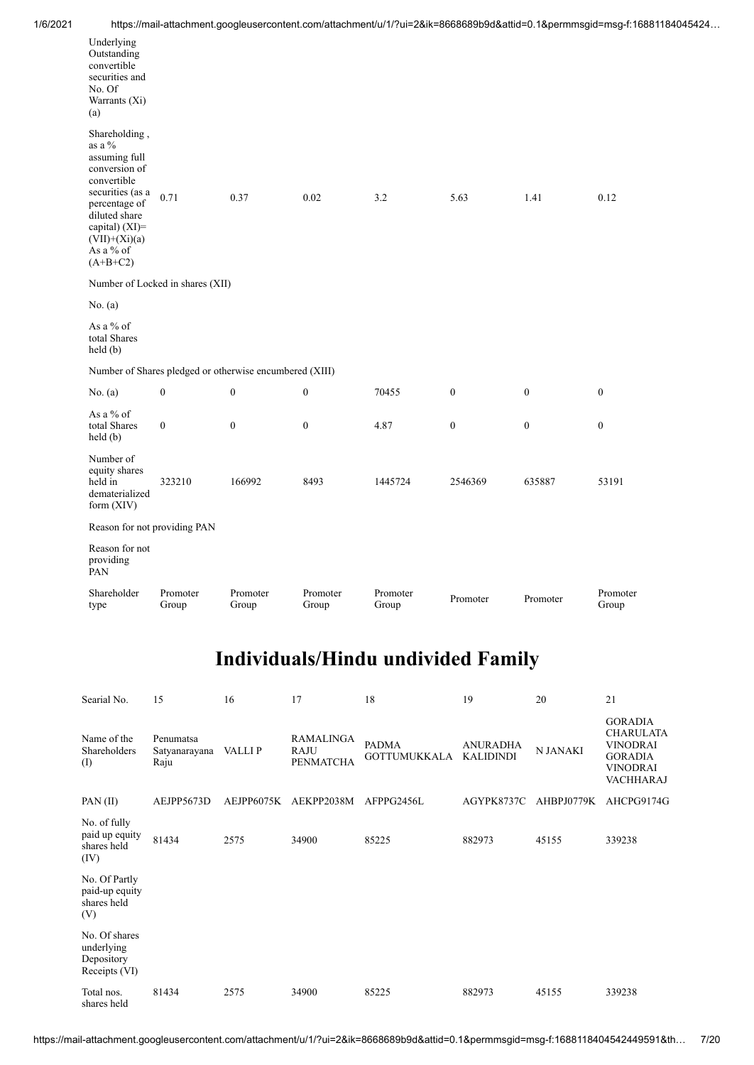| 1/6/2021 | https://mail-attachment.googleusercontent.com/attachment/u/1/?ui=2&ik=8668689b9d&attid=0.1&permmsgid=msg-f:16881184045424… |
|----------|----------------------------------------------------------------------------------------------------------------------------|

| Underlying<br>Outstanding<br>convertible<br>securities and<br>No. Of<br>Warrants (Xi)<br>(a)                                                                                                      |                                  |                                                         |                   |                   |                  |                  |                   |
|---------------------------------------------------------------------------------------------------------------------------------------------------------------------------------------------------|----------------------------------|---------------------------------------------------------|-------------------|-------------------|------------------|------------------|-------------------|
| Shareholding,<br>as a $\%$<br>assuming full<br>conversion of<br>convertible<br>securities (as a<br>percentage of<br>diluted share<br>capital) (XI)=<br>$(VII)+(Xi)(a)$<br>As a % of<br>$(A+B+C2)$ | 0.71                             | 0.37                                                    | 0.02              | 3.2               | 5.63             | 1.41             | 0.12              |
|                                                                                                                                                                                                   | Number of Locked in shares (XII) |                                                         |                   |                   |                  |                  |                   |
| No. $(a)$                                                                                                                                                                                         |                                  |                                                         |                   |                   |                  |                  |                   |
| As a % of<br>total Shares<br>held(b)                                                                                                                                                              |                                  |                                                         |                   |                   |                  |                  |                   |
|                                                                                                                                                                                                   |                                  | Number of Shares pledged or otherwise encumbered (XIII) |                   |                   |                  |                  |                   |
| No. (a)                                                                                                                                                                                           | $\boldsymbol{0}$                 | $\boldsymbol{0}$                                        | $\boldsymbol{0}$  | 70455             | $\boldsymbol{0}$ | $\boldsymbol{0}$ | $\boldsymbol{0}$  |
| As a % of<br>total Shares<br>held(b)                                                                                                                                                              | $\boldsymbol{0}$                 | $\boldsymbol{0}$                                        | $\boldsymbol{0}$  | 4.87              | $\boldsymbol{0}$ | $\boldsymbol{0}$ | $\mathbf{0}$      |
| Number of<br>equity shares<br>held in<br>dematerialized<br>form $(XIV)$                                                                                                                           | 323210                           | 166992                                                  | 8493              | 1445724           | 2546369          | 635887           | 53191             |
| Reason for not providing PAN                                                                                                                                                                      |                                  |                                                         |                   |                   |                  |                  |                   |
| Reason for not<br>providing<br>PAN                                                                                                                                                                |                                  |                                                         |                   |                   |                  |                  |                   |
| Shareholder<br>type                                                                                                                                                                               | Promoter<br>Group                | Promoter<br>Group                                       | Promoter<br>Group | Promoter<br>Group | Promoter         | Promoter         | Promoter<br>Group |
|                                                                                                                                                                                                   |                                  |                                                         |                   |                   |                  |                  |                   |

| Searial No.                                                | 15                                 | 16         | 17                                           | 18                                  | 19                                  | 20              | 21                                                                                                             |
|------------------------------------------------------------|------------------------------------|------------|----------------------------------------------|-------------------------------------|-------------------------------------|-----------------|----------------------------------------------------------------------------------------------------------------|
| Name of the<br>Shareholders<br>(I)                         | Penumatsa<br>Satyanarayana<br>Raju | VALLI P    | RAMALINGA<br><b>RAJU</b><br><b>PENMATCHA</b> | <b>PADMA</b><br><b>GOTTUMUKKALA</b> | <b>ANURADHA</b><br><b>KALIDINDI</b> | <b>N JANAKI</b> | <b>GORADIA</b><br><b>CHARULATA</b><br><b>VINODRAI</b><br><b>GORADIA</b><br><b>VINODRAI</b><br><b>VACHHARAJ</b> |
| PAN(II)                                                    | AEJPP5673D                         | AEJPP6075K | AEKPP2038M                                   | AFPPG2456L                          | AGYPK8737C                          | AHBPJ0779K      | AHCPG9174G                                                                                                     |
| No. of fully<br>paid up equity<br>shares held<br>(IV)      | 81434                              | 2575       | 34900                                        | 85225                               | 882973                              | 45155           | 339238                                                                                                         |
| No. Of Partly<br>paid-up equity<br>shares held<br>(V)      |                                    |            |                                              |                                     |                                     |                 |                                                                                                                |
| No. Of shares<br>underlying<br>Depository<br>Receipts (VI) |                                    |            |                                              |                                     |                                     |                 |                                                                                                                |
| Total nos.<br>shares held                                  | 81434                              | 2575       | 34900                                        | 85225                               | 882973                              | 45155           | 339238                                                                                                         |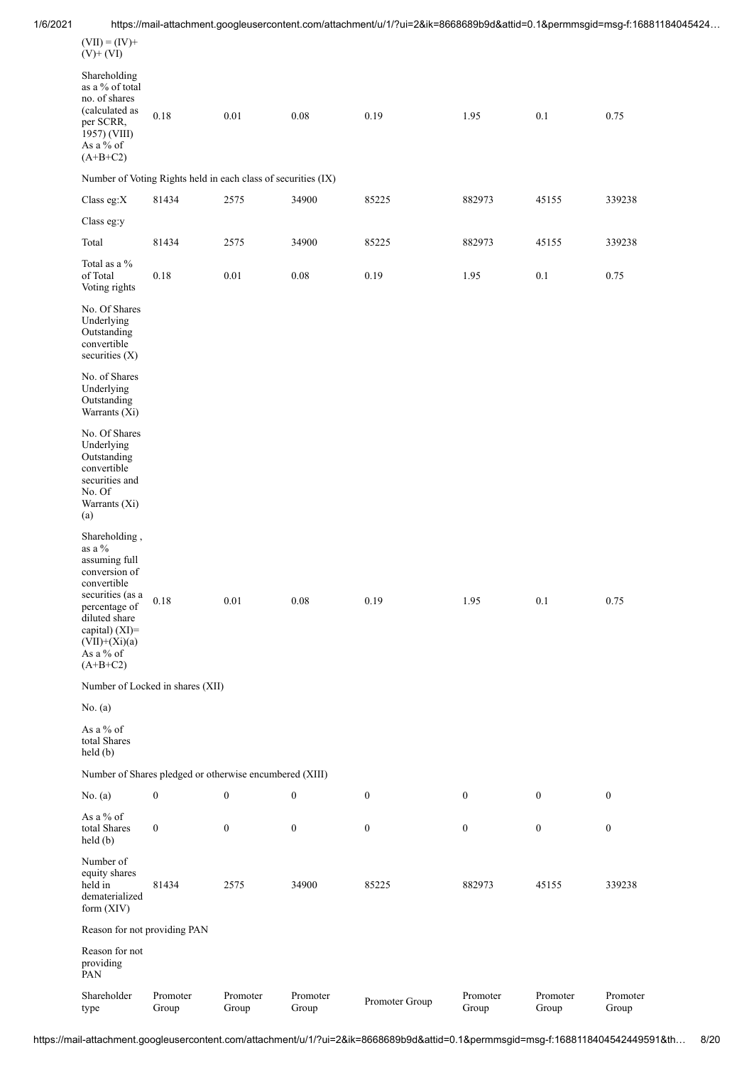| 1/6/2021 |                                                                                                                            |                                                               |                   |                   |                  |                   |                   | https://mail-attachment.googleusercontent.com/attachment/u/1/?ui=2&ik=8668689b9d&attid=0.1&permmsgid=msg-f:16881184045424 |
|----------|----------------------------------------------------------------------------------------------------------------------------|---------------------------------------------------------------|-------------------|-------------------|------------------|-------------------|-------------------|---------------------------------------------------------------------------------------------------------------------------|
|          | $(VII) = (IV) +$<br>$(V)$ + $(VI)$                                                                                         |                                                               |                   |                   |                  |                   |                   |                                                                                                                           |
|          | Shareholding<br>as a % of total<br>no. of shares<br>(calculated as<br>per SCRR,<br>1957) (VIII)<br>As a % of<br>$(A+B+C2)$ | $0.18\,$                                                      | $0.01\,$          | $0.08\,$          | 0.19             | 1.95              | 0.1               | 0.75                                                                                                                      |
|          |                                                                                                                            | Number of Voting Rights held in each class of securities (IX) |                   |                   |                  |                   |                   |                                                                                                                           |
|          | Class eg: $X$                                                                                                              | 81434                                                         | 2575              | 34900             | 85225            | 882973            | 45155             | 339238                                                                                                                    |
|          | Class eg:y                                                                                                                 |                                                               |                   |                   |                  |                   |                   |                                                                                                                           |
|          | Total                                                                                                                      | 81434                                                         | 2575              | 34900             | 85225            | 882973            | 45155             | 339238                                                                                                                    |
|          | Total as a $\%$<br>of Total<br>Voting rights                                                                               | $0.18\,$                                                      | $0.01\,$          | $0.08\,$          | 0.19             | 1.95              | 0.1               | 0.75                                                                                                                      |
|          | No. Of Shares<br>Underlying<br>Outstanding<br>convertible<br>securities (X)                                                |                                                               |                   |                   |                  |                   |                   |                                                                                                                           |
|          | No. of Shares<br>Underlying<br>Outstanding<br>Warrants (Xi)                                                                |                                                               |                   |                   |                  |                   |                   |                                                                                                                           |
|          | No. Of Shares<br>Underlying<br>Outstanding<br>convertible<br>securities and<br>No. Of<br>Warrants (Xi)<br>(a)              |                                                               |                   |                   |                  |                   |                   |                                                                                                                           |
|          | Shareholding,<br>as a $\%$<br>assuming full<br>conversion of<br>convertible<br>securities (as a<br>percentage of           | 0.18                                                          | $0.01\,$          | $0.08\,$          | 0.19             | 1.95              | 0.1               | 0.75                                                                                                                      |
|          | diluted share<br>capital) (XI)=<br>$(VII)+(Xi)(a)$<br>As a % of<br>$(A+B+C2)$                                              |                                                               |                   |                   |                  |                   |                   |                                                                                                                           |
|          |                                                                                                                            | Number of Locked in shares (XII)                              |                   |                   |                  |                   |                   |                                                                                                                           |
|          | No. $(a)$                                                                                                                  |                                                               |                   |                   |                  |                   |                   |                                                                                                                           |
|          | As a % of<br>total Shares<br>held(b)                                                                                       |                                                               |                   |                   |                  |                   |                   |                                                                                                                           |
|          |                                                                                                                            | Number of Shares pledged or otherwise encumbered (XIII)       |                   |                   |                  |                   |                   |                                                                                                                           |
|          | No. $(a)$                                                                                                                  | $\boldsymbol{0}$                                              | $\boldsymbol{0}$  | $\boldsymbol{0}$  | $\boldsymbol{0}$ | $\boldsymbol{0}$  | $\boldsymbol{0}$  | $\bf{0}$                                                                                                                  |
|          | As a % of<br>total Shares<br>held(b)                                                                                       | $\boldsymbol{0}$                                              | $\boldsymbol{0}$  | $\boldsymbol{0}$  | $\boldsymbol{0}$ | $\boldsymbol{0}$  | $\boldsymbol{0}$  | $\bf{0}$                                                                                                                  |
|          | Number of<br>equity shares<br>held in<br>dematerialized<br>form $(XIV)$                                                    | 81434                                                         | 2575              | 34900             | 85225            | 882973            | 45155             | 339238                                                                                                                    |
|          | Reason for not providing PAN                                                                                               |                                                               |                   |                   |                  |                   |                   |                                                                                                                           |
|          | Reason for not<br>providing<br>PAN                                                                                         |                                                               |                   |                   |                  |                   |                   |                                                                                                                           |
|          | Shareholder<br>type                                                                                                        | Promoter<br>Group                                             | Promoter<br>Group | Promoter<br>Group | Promoter Group   | Promoter<br>Group | Promoter<br>Group | Promoter<br>Group                                                                                                         |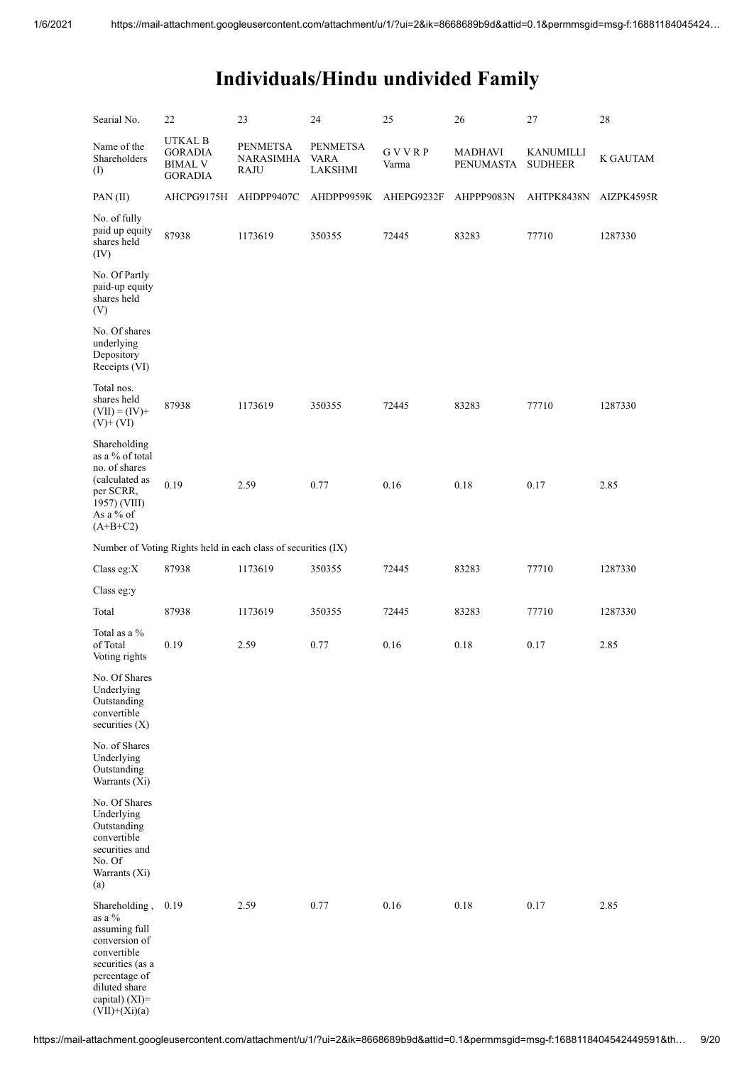| Searial No.                                                                                                                                                         | 22                                                            | 23                                                 | 24                                        | 25                    | 26                          | 27                                 | 28              |
|---------------------------------------------------------------------------------------------------------------------------------------------------------------------|---------------------------------------------------------------|----------------------------------------------------|-------------------------------------------|-----------------------|-----------------------------|------------------------------------|-----------------|
| Name of the<br>Shareholders<br>(I)                                                                                                                                  | UTKAL B<br><b>GORADIA</b><br><b>BIMAL V</b><br><b>GORADIA</b> | <b>PENMETSA</b><br><b>NARASIMHA</b><br><b>RAJU</b> | <b>PENMETSA</b><br><b>VARA</b><br>LAKSHMI | <b>GVVRP</b><br>Varma | <b>MADHAVI</b><br>PENUMASTA | <b>KANUMILLI</b><br><b>SUDHEER</b> | <b>K GAUTAM</b> |
| PAN(II)                                                                                                                                                             | AHCPG9175H                                                    | AHDPP9407C                                         | AHDPP9959K                                | AHEPG9232F            | AHPPP9083N                  | AHTPK8438N                         | AIZPK4595R      |
| No. of fully<br>paid up equity<br>shares held<br>(IV)                                                                                                               | 87938                                                         | 1173619                                            | 350355                                    | 72445                 | 83283                       | 77710                              | 1287330         |
| No. Of Partly<br>paid-up equity<br>shares held<br>(V)                                                                                                               |                                                               |                                                    |                                           |                       |                             |                                    |                 |
| No. Of shares<br>underlying<br>Depository<br>Receipts (VI)                                                                                                          |                                                               |                                                    |                                           |                       |                             |                                    |                 |
| Total nos.<br>shares held<br>$(VII) = (IV) +$<br>$(V)+(VI)$                                                                                                         | 87938                                                         | 1173619                                            | 350355                                    | 72445                 | 83283                       | 77710                              | 1287330         |
| Shareholding<br>as a % of total<br>no. of shares<br>(calculated as<br>per SCRR,<br>1957) (VIII)<br>As a % of<br>$(A+B+C2)$                                          | 0.19                                                          | 2.59                                               | 0.77                                      | 0.16                  | 0.18                        | 0.17                               | 2.85            |
|                                                                                                                                                                     | Number of Voting Rights held in each class of securities (IX) |                                                    |                                           |                       |                             |                                    |                 |
| Class eg: $X$                                                                                                                                                       | 87938                                                         | 1173619                                            | 350355                                    | 72445                 | 83283                       | 77710                              | 1287330         |
| Class eg:y                                                                                                                                                          |                                                               |                                                    |                                           |                       |                             |                                    |                 |
| Total                                                                                                                                                               | 87938                                                         | 1173619                                            | 350355                                    | 72445                 | 83283                       | 77710                              | 1287330         |
| Total as a %<br>of Total<br>Voting rights                                                                                                                           | 0.19                                                          | 2.59                                               | 0.77                                      | 0.16                  | 0.18                        | 0.17                               | 2.85            |
| No. Of Shares<br>Underlying<br>Outstanding<br>convertible<br>securities $(X)$                                                                                       |                                                               |                                                    |                                           |                       |                             |                                    |                 |
| No. of Shares<br>Underlying<br>Outstanding<br>Warrants (Xi)                                                                                                         |                                                               |                                                    |                                           |                       |                             |                                    |                 |
| No. Of Shares<br>Underlying<br>Outstanding<br>convertible<br>securities and<br>No. Of<br>Warrants (Xi)<br>(a)                                                       |                                                               |                                                    |                                           |                       |                             |                                    |                 |
| Shareholding,<br>as a %<br>assuming full<br>conversion of<br>convertible<br>securities (as a<br>percentage of<br>diluted share<br>capital) (XI)=<br>$(VII)+(Xi)(a)$ | 0.19                                                          | 2.59                                               | 0.77                                      | 0.16                  | 0.18                        | 0.17                               | 2.85            |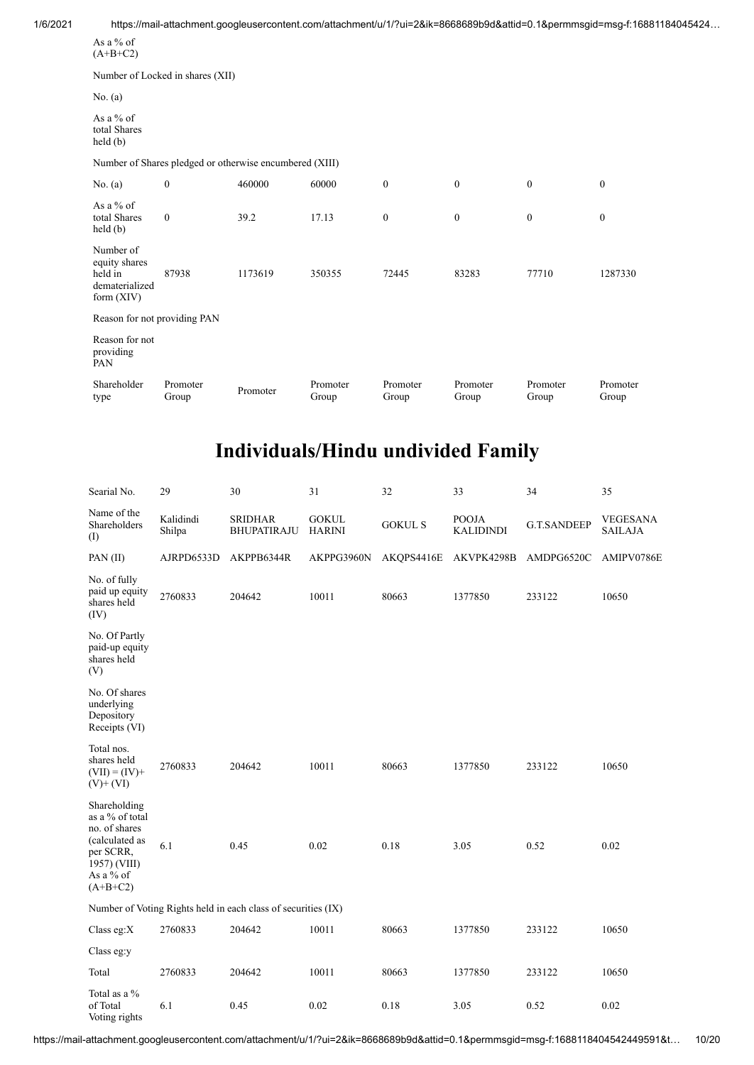| 1/6/2021 |                                                                         |                   |                                                         |                   |                   |                   |                   | https://mail-attachment.googleusercontent.com/attachment/u/1/?ui=2&ik=8668689b9d&attid=0.1&permmsgid=msg-f:16881184045424 |  |
|----------|-------------------------------------------------------------------------|-------------------|---------------------------------------------------------|-------------------|-------------------|-------------------|-------------------|---------------------------------------------------------------------------------------------------------------------------|--|
|          | As a $%$ of<br>$(A+B+C2)$                                               |                   |                                                         |                   |                   |                   |                   |                                                                                                                           |  |
|          | Number of Locked in shares (XII)                                        |                   |                                                         |                   |                   |                   |                   |                                                                                                                           |  |
|          | No. (a)                                                                 |                   |                                                         |                   |                   |                   |                   |                                                                                                                           |  |
|          | As a $%$ of<br>total Shares<br>held(b)                                  |                   |                                                         |                   |                   |                   |                   |                                                                                                                           |  |
|          |                                                                         |                   | Number of Shares pledged or otherwise encumbered (XIII) |                   |                   |                   |                   |                                                                                                                           |  |
|          | No. $(a)$                                                               | $\boldsymbol{0}$  | 460000                                                  | 60000             | $\bf{0}$          | $\boldsymbol{0}$  | $\mathbf{0}$      | $\bf{0}$                                                                                                                  |  |
|          | As a $%$ of<br>total Shares<br>held(b)                                  | $\mathbf{0}$      | 39.2                                                    | 17.13             | $\boldsymbol{0}$  | $\boldsymbol{0}$  | $\mathbf{0}$      | $\boldsymbol{0}$                                                                                                          |  |
|          | Number of<br>equity shares<br>held in<br>dematerialized<br>form $(XIV)$ | 87938             | 1173619                                                 | 350355            | 72445             | 83283             | 77710             | 1287330                                                                                                                   |  |
|          | Reason for not providing PAN                                            |                   |                                                         |                   |                   |                   |                   |                                                                                                                           |  |
|          | Reason for not<br>providing<br>PAN                                      |                   |                                                         |                   |                   |                   |                   |                                                                                                                           |  |
|          | Shareholder<br>type                                                     | Promoter<br>Group | Promoter                                                | Promoter<br>Group | Promoter<br>Group | Promoter<br>Group | Promoter<br>Group | Promoter<br>Group                                                                                                         |  |

| Searial No.                                                                                                                | 29                  | 30                                                            | 31                            | 32             | 33                               | 34                 | 35                                |
|----------------------------------------------------------------------------------------------------------------------------|---------------------|---------------------------------------------------------------|-------------------------------|----------------|----------------------------------|--------------------|-----------------------------------|
| Name of the<br>Shareholders<br>(I)                                                                                         | Kalidindi<br>Shilpa | <b>SRIDHAR</b><br><b>BHUPATIRAJU</b>                          | <b>GOKUL</b><br><b>HARINI</b> | <b>GOKUL S</b> | <b>POOJA</b><br><b>KALIDINDI</b> | <b>G.T.SANDEEP</b> | <b>VEGESANA</b><br><b>SAILAJA</b> |
| PAN $(II)$                                                                                                                 | AJRPD6533D          | AKPPB6344R                                                    | AKPPG3960N                    | AKQPS4416E     | AKVPK4298B                       | AMDPG6520C         | AMIPV0786E                        |
| No. of fully<br>paid up equity<br>shares held<br>(IV)                                                                      | 2760833             | 204642                                                        | 10011                         | 80663          | 1377850                          | 233122             | 10650                             |
| No. Of Partly<br>paid-up equity<br>shares held<br>(V)                                                                      |                     |                                                               |                               |                |                                  |                    |                                   |
| No. Of shares<br>underlying<br>Depository<br>Receipts (VI)                                                                 |                     |                                                               |                               |                |                                  |                    |                                   |
| Total nos.<br>shares held<br>$(VII) = (IV) +$<br>$(V)$ + $(VI)$                                                            | 2760833             | 204642                                                        | 10011                         | 80663          | 1377850                          | 233122             | 10650                             |
| Shareholding<br>as a % of total<br>no. of shares<br>(calculated as<br>per SCRR,<br>1957) (VIII)<br>As a % of<br>$(A+B+C2)$ | 6.1                 | 0.45                                                          | 0.02                          | 0.18           | 3.05                             | 0.52               | 0.02                              |
|                                                                                                                            |                     | Number of Voting Rights held in each class of securities (IX) |                               |                |                                  |                    |                                   |
| Class eg:X                                                                                                                 | 2760833             | 204642                                                        | 10011                         | 80663          | 1377850                          | 233122             | 10650                             |
| Class eg:y                                                                                                                 |                     |                                                               |                               |                |                                  |                    |                                   |
| Total                                                                                                                      | 2760833             | 204642                                                        | 10011                         | 80663          | 1377850                          | 233122             | 10650                             |
| Total as a %<br>of Total<br>Voting rights                                                                                  | 6.1                 | 0.45                                                          | 0.02                          | 0.18           | 3.05                             | 0.52               | 0.02                              |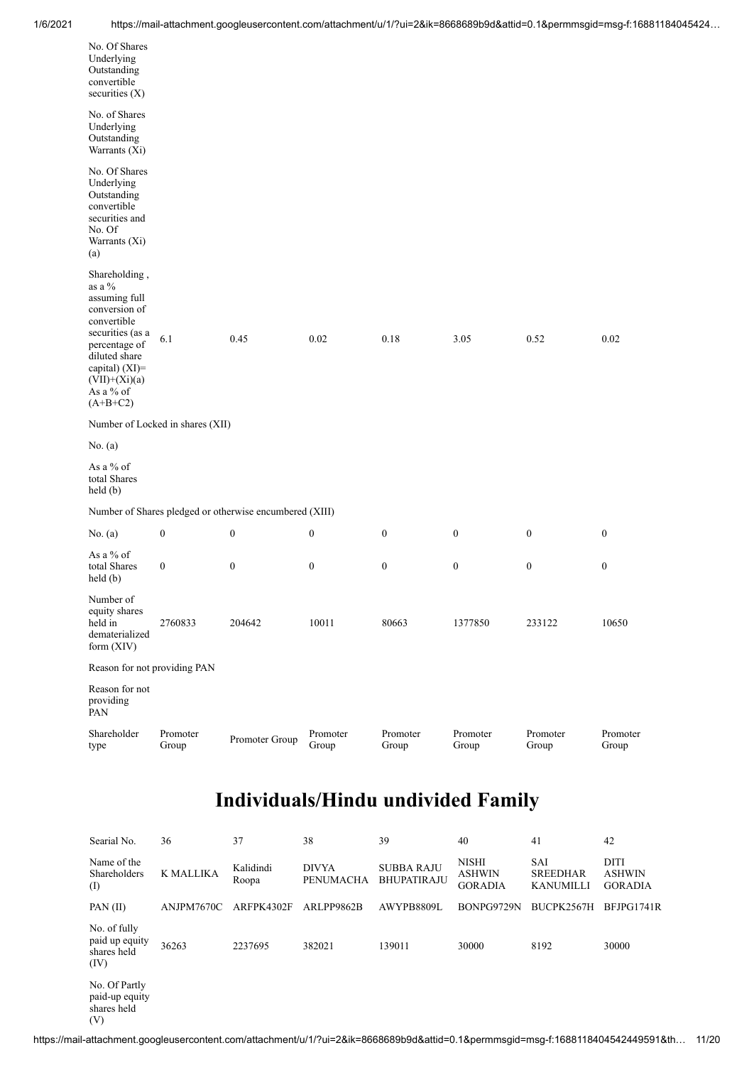| No. Of Shares<br>Underlying<br>Outstanding<br>convertible<br>securities (X)                                                                                                                    |                                  |                                                         |                   |                   |                   |                   |                   |
|------------------------------------------------------------------------------------------------------------------------------------------------------------------------------------------------|----------------------------------|---------------------------------------------------------|-------------------|-------------------|-------------------|-------------------|-------------------|
| No. of Shares<br>Underlying<br>Outstanding<br>Warrants (Xi)                                                                                                                                    |                                  |                                                         |                   |                   |                   |                   |                   |
| No. Of Shares<br>Underlying<br>Outstanding<br>convertible<br>securities and<br>No. Of<br>Warrants (Xi)<br>(a)                                                                                  |                                  |                                                         |                   |                   |                   |                   |                   |
| Shareholding,<br>as a %<br>assuming full<br>conversion of<br>convertible<br>securities (as a<br>percentage of<br>diluted share<br>capital) (XI)=<br>$(VII)+(Xi)(a)$<br>As a % of<br>$(A+B+C2)$ | 6.1                              | 0.45                                                    | 0.02              | 0.18              | 3.05              | 0.52              | 0.02              |
|                                                                                                                                                                                                | Number of Locked in shares (XII) |                                                         |                   |                   |                   |                   |                   |
| No. (a)                                                                                                                                                                                        |                                  |                                                         |                   |                   |                   |                   |                   |
| As a % of<br>total Shares<br>$\text{held}(\text{b})$                                                                                                                                           |                                  |                                                         |                   |                   |                   |                   |                   |
|                                                                                                                                                                                                |                                  | Number of Shares pledged or otherwise encumbered (XIII) |                   |                   |                   |                   |                   |
| No. (a)                                                                                                                                                                                        | $\boldsymbol{0}$                 | $\boldsymbol{0}$                                        | $\boldsymbol{0}$  | $\boldsymbol{0}$  | $\boldsymbol{0}$  | $\boldsymbol{0}$  | $\boldsymbol{0}$  |
| As a % of<br>total Shares<br>$\text{held}(\text{b})$                                                                                                                                           | $\boldsymbol{0}$                 | $\boldsymbol{0}$                                        | $\boldsymbol{0}$  | $\bf{0}$          | $\boldsymbol{0}$  | $\boldsymbol{0}$  | $\boldsymbol{0}$  |
| Number of<br>equity shares<br>held in<br>dematerialized<br>form $(XIV)$                                                                                                                        | 2760833                          | 204642                                                  | 10011             | 80663             | 1377850           | 233122            | 10650             |
| Reason for not providing PAN                                                                                                                                                                   |                                  |                                                         |                   |                   |                   |                   |                   |
| Reason for not<br>providing<br>PAN                                                                                                                                                             |                                  |                                                         |                   |                   |                   |                   |                   |
| Shareholder<br>type                                                                                                                                                                            | Promoter<br>Group                | Promoter Group                                          | Promoter<br>Group | Promoter<br>Group | Promoter<br>Group | Promoter<br>Group | Promoter<br>Group |

| Searial No.                                           | 36         | 37                 | 38                        | 39                                      | 40                                              | 41                                                | 42                                             |
|-------------------------------------------------------|------------|--------------------|---------------------------|-----------------------------------------|-------------------------------------------------|---------------------------------------------------|------------------------------------------------|
| Name of the<br>Shareholders<br>(I)                    | K MALLIKA  | Kalidindi<br>Roopa | <b>DIVYA</b><br>PENUMACHA | <b>SUBBA RAJU</b><br><b>BHUPATIRAJU</b> | <b>NISHI</b><br><b>ASHWIN</b><br><b>GORADIA</b> | <b>SAI</b><br><b>SREEDHAR</b><br><b>KANUMILLI</b> | <b>DITI</b><br><b>ASHWIN</b><br><b>GORADIA</b> |
| PAN(II)                                               | ANJPM7670C | ARFPK4302F         | ARLPP9862B                | AWYPB8809L                              | BONPG9729N                                      | BUCPK2567H                                        | BFJPG1741R                                     |
| No. of fully<br>paid up equity<br>shares held<br>(IV) | 36263      | 2237695            | 382021                    | 139011                                  | 30000                                           | 8192                                              | 30000                                          |
| No. Of Partly<br>paid-up equity<br>shares held<br>(V) |            |                    |                           |                                         |                                                 |                                                   |                                                |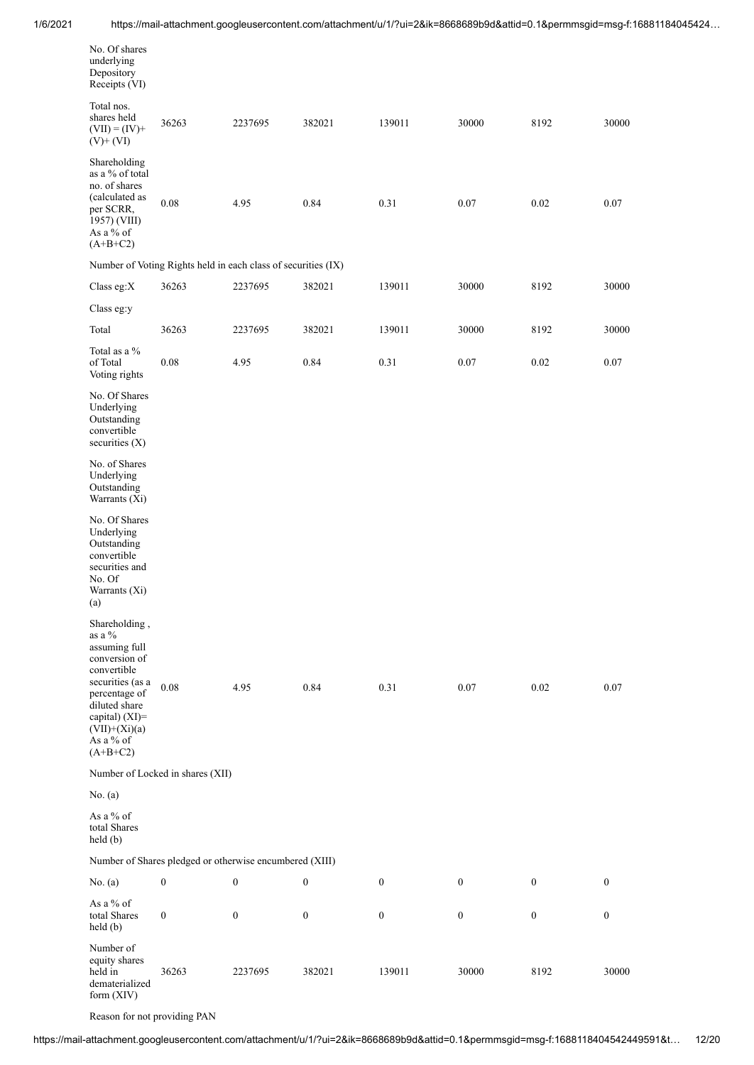| No. Of shares<br>underlying<br>Depository<br>Receipts (VI)                                                                                                                                     |                                                               |                  |                  |                  |                  |                  |                  |
|------------------------------------------------------------------------------------------------------------------------------------------------------------------------------------------------|---------------------------------------------------------------|------------------|------------------|------------------|------------------|------------------|------------------|
| Total nos.<br>shares held<br>$(VII) = (IV) +$<br>$(V)$ + $(VI)$                                                                                                                                | 36263                                                         | 2237695          | 382021           | 139011           | 30000            | 8192             | 30000            |
| Shareholding<br>as a % of total<br>no. of shares<br>(calculated as<br>per SCRR,<br>1957) (VIII)<br>As a % of<br>$(A+B+C2)$                                                                     | 0.08                                                          | 4.95             | 0.84             | 0.31             | 0.07             | 0.02             | 0.07             |
|                                                                                                                                                                                                | Number of Voting Rights held in each class of securities (IX) |                  |                  |                  |                  |                  |                  |
| Class eg: $X$                                                                                                                                                                                  | 36263                                                         | 2237695          | 382021           | 139011           | 30000            | 8192             | 30000            |
| Class eg:y                                                                                                                                                                                     |                                                               |                  |                  |                  |                  |                  |                  |
| Total                                                                                                                                                                                          | 36263                                                         | 2237695          | 382021           | 139011           | 30000            | 8192             | 30000            |
| Total as a %<br>of Total<br>Voting rights                                                                                                                                                      | 0.08                                                          | 4.95             | 0.84             | 0.31             | 0.07             | 0.02             | 0.07             |
| No. Of Shares<br>Underlying<br>Outstanding<br>convertible<br>securities (X)                                                                                                                    |                                                               |                  |                  |                  |                  |                  |                  |
| No. of Shares<br>Underlying<br>Outstanding<br>Warrants (Xi)                                                                                                                                    |                                                               |                  |                  |                  |                  |                  |                  |
| No. Of Shares<br>Underlying<br>Outstanding<br>convertible<br>securities and<br>No. Of<br>Warrants (Xi)<br>(a)                                                                                  |                                                               |                  |                  |                  |                  |                  |                  |
| Shareholding,<br>as a %<br>assuming full<br>conversion of<br>convertible<br>securities (as a<br>percentage of<br>diluted share<br>capital) (XI)=<br>$(VII)+(Xi)(a)$<br>As a % of<br>$(A+B+C2)$ | $0.08\,$                                                      | 4.95             | 0.84             | 0.31             | 0.07             | 0.02             | 0.07             |
|                                                                                                                                                                                                | Number of Locked in shares (XII)                              |                  |                  |                  |                  |                  |                  |
| No. (a)                                                                                                                                                                                        |                                                               |                  |                  |                  |                  |                  |                  |
| As a % of<br>total Shares<br>$\text{held}(\text{b})$                                                                                                                                           |                                                               |                  |                  |                  |                  |                  |                  |
|                                                                                                                                                                                                | Number of Shares pledged or otherwise encumbered (XIII)       |                  |                  |                  |                  |                  |                  |
| No. (a)                                                                                                                                                                                        | $\boldsymbol{0}$                                              | $\boldsymbol{0}$ | 0                | $\boldsymbol{0}$ | $\boldsymbol{0}$ | $\boldsymbol{0}$ | $\boldsymbol{0}$ |
| As a % of<br>total Shares<br>held (b)                                                                                                                                                          | $\boldsymbol{0}$                                              | $\boldsymbol{0}$ | $\boldsymbol{0}$ | $\boldsymbol{0}$ | $\boldsymbol{0}$ | $\boldsymbol{0}$ | $\boldsymbol{0}$ |
| Number of<br>equity shares<br>held in<br>dematerialized<br>form (XIV)                                                                                                                          | 36263                                                         | 2237695          | 382021           | 139011           | 30000            | 8192             | 30000            |

Reason for not providing PAN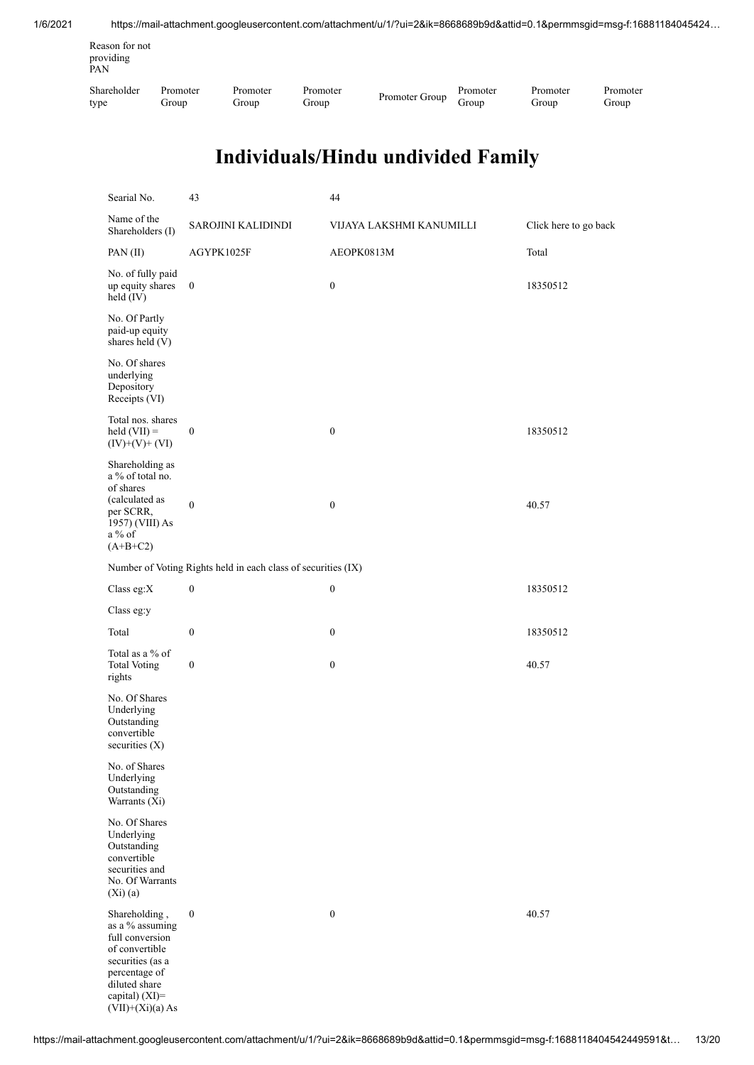| Reason for not<br>providing<br>PAN |          |          |          |                |          |          |          |
|------------------------------------|----------|----------|----------|----------------|----------|----------|----------|
| Shareholder                        | Promoter | Promoter | Promoter | Promoter Group | Promoter | Promoter | Promoter |
| type                               | Group    | Group    | Group    |                | Group    | Group    | Group    |

| Searial No.                                                                                                                                                         | 43                                                            | 44                       |                       |
|---------------------------------------------------------------------------------------------------------------------------------------------------------------------|---------------------------------------------------------------|--------------------------|-----------------------|
| Name of the<br>Shareholders (I)                                                                                                                                     | SAROJINI KALIDINDI                                            | VIJAYA LAKSHMI KANUMILLI | Click here to go back |
| PAN (II)                                                                                                                                                            | AGYPK1025F                                                    | AEOPK0813M               | Total                 |
| No. of fully paid<br>up equity shares<br>held $(IV)$                                                                                                                | $\boldsymbol{0}$                                              | $\boldsymbol{0}$         | 18350512              |
| No. Of Partly<br>paid-up equity<br>shares held (V)                                                                                                                  |                                                               |                          |                       |
| No. Of shares<br>underlying<br>Depository<br>Receipts (VI)                                                                                                          |                                                               |                          |                       |
| Total nos. shares<br>held $(VII)$ =<br>$(IV)+(V)+(VI)$                                                                                                              | $\boldsymbol{0}$                                              | $\boldsymbol{0}$         | 18350512              |
| Shareholding as<br>a % of total no.<br>of shares<br>(calculated as<br>per SCRR,<br>1957) (VIII) As<br>a % of<br>$(A+B+C2)$                                          | $\boldsymbol{0}$                                              | $\boldsymbol{0}$         | 40.57                 |
|                                                                                                                                                                     | Number of Voting Rights held in each class of securities (IX) |                          |                       |
| Class eg:X                                                                                                                                                          | $\boldsymbol{0}$                                              | $\boldsymbol{0}$         | 18350512              |
| Class eg:y                                                                                                                                                          |                                                               |                          |                       |
| Total                                                                                                                                                               | $\boldsymbol{0}$                                              | 0                        | 18350512              |
| Total as a % of<br><b>Total Voting</b><br>rights                                                                                                                    | $\boldsymbol{0}$                                              | $\boldsymbol{0}$         | 40.57                 |
| No. Of Shares<br>Underlying<br>Outstanding<br>convertible<br>securities $(X)$                                                                                       |                                                               |                          |                       |
| No. of Shares<br>Underlying<br>Outstanding<br>Warrants (Xi)                                                                                                         |                                                               |                          |                       |
| No. Of Shares<br>Underlying<br>Outstanding<br>convertible<br>securities and<br>No. Of Warrants<br>(Xi)(a)                                                           |                                                               |                          |                       |
| Shareholding,<br>as a % assuming<br>full conversion<br>of convertible<br>securities (as a<br>percentage of<br>diluted share<br>capital) (XI)=<br>$(VII)+(Xi)(a) As$ | $\boldsymbol{0}$                                              | $\boldsymbol{0}$         | 40.57                 |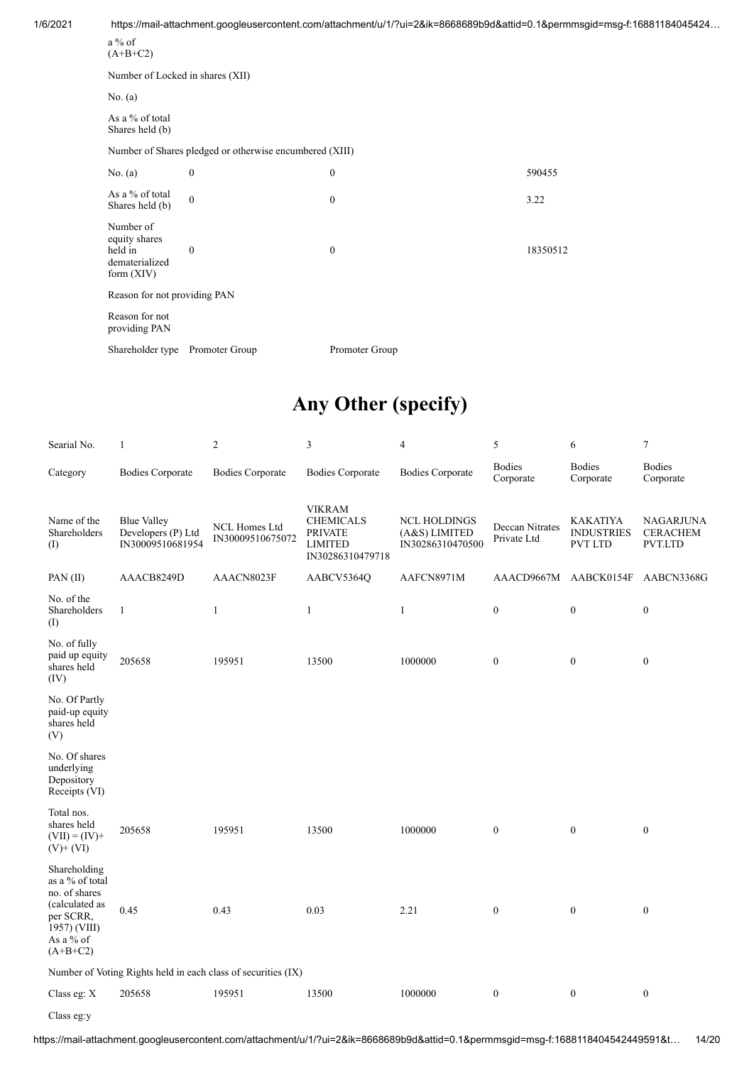1/6/2021 https://mail-attachment.googleusercontent.com/attachment/u/1/?ui=2&ik=8668689b9d&attid=0.1&permmsgid=msg-f:16881184045424… a % of  $(A+B+C2)$ Number of Locked in shares (XII) No. (a) As a % of total Shares held (b) Number of Shares pledged or otherwise encumbered (XIII) No. (a) 0 590455 As a % of total As a % of total discussed by the contract of the contract of the contract of the contract of the contract of the contract of the contract of the contract of the contract of the contract of the contract of the contract of t Number of equity shares held in dematerialized form (XIV) 0 0 18350512 Reason for not providing PAN Reason for not providing PAN Shareholder type Promoter Group Promoter Group

### **Any Other (specify)**

| Searial No.                                                                                                                | $\mathbf{1}$                                                 | 2                                                             | 3                                                                                         | 4                                                        | 5                              | 6                                                      | 7                                              |
|----------------------------------------------------------------------------------------------------------------------------|--------------------------------------------------------------|---------------------------------------------------------------|-------------------------------------------------------------------------------------------|----------------------------------------------------------|--------------------------------|--------------------------------------------------------|------------------------------------------------|
| Category                                                                                                                   | <b>Bodies Corporate</b>                                      | <b>Bodies Corporate</b>                                       | <b>Bodies Corporate</b>                                                                   | <b>Bodies Corporate</b>                                  | <b>Bodies</b><br>Corporate     | <b>Bodies</b><br>Corporate                             | Bodies<br>Corporate                            |
| Name of the<br>Shareholders<br>(1)                                                                                         | <b>Blue Valley</b><br>Developers (P) Ltd<br>IN30009510681954 | NCL Homes Ltd<br>IN30009510675072                             | <b>VIKRAM</b><br><b>CHEMICALS</b><br><b>PRIVATE</b><br><b>LIMITED</b><br>IN30286310479718 | <b>NCL HOLDINGS</b><br>(A&S) LIMITED<br>IN30286310470500 | Deccan Nitrates<br>Private Ltd | <b>KAKATIYA</b><br><b>INDUSTRIES</b><br><b>PVT LTD</b> | <b>NAGARJUNA</b><br><b>CERACHEM</b><br>PVT.LTD |
| PAN (II)                                                                                                                   | AAACB8249D                                                   | AAACN8023F                                                    | AABCV5364Q                                                                                | AAFCN8971M                                               | AAACD9667M                     | AABCK0154F                                             | AABCN3368G                                     |
| No. of the<br>Shareholders<br>(1)                                                                                          | $\mathbf{1}$                                                 | $\mathbf{1}$                                                  | $\mathbf{1}$                                                                              | $\mathbf{1}$                                             | $\boldsymbol{0}$               | $\boldsymbol{0}$                                       | $\boldsymbol{0}$                               |
| No. of fully<br>paid up equity<br>shares held<br>(IV)                                                                      | 205658                                                       | 195951                                                        | 13500                                                                                     | 1000000                                                  | $\boldsymbol{0}$               | $\boldsymbol{0}$                                       | $\boldsymbol{0}$                               |
| No. Of Partly<br>paid-up equity<br>shares held<br>(V)                                                                      |                                                              |                                                               |                                                                                           |                                                          |                                |                                                        |                                                |
| No. Of shares<br>underlying<br>Depository<br>Receipts (VI)                                                                 |                                                              |                                                               |                                                                                           |                                                          |                                |                                                        |                                                |
| Total nos.<br>shares held<br>$(VII) = (IV) +$<br>$(V)$ + $(VI)$                                                            | 205658                                                       | 195951                                                        | 13500                                                                                     | 1000000                                                  | $\boldsymbol{0}$               | $\boldsymbol{0}$                                       | $\boldsymbol{0}$                               |
| Shareholding<br>as a % of total<br>no. of shares<br>(calculated as<br>per SCRR,<br>1957) (VIII)<br>As a % of<br>$(A+B+C2)$ | 0.45                                                         | 0.43                                                          | 0.03                                                                                      | 2.21                                                     | $\bf{0}$                       | $\boldsymbol{0}$                                       | $\boldsymbol{0}$                               |
|                                                                                                                            |                                                              | Number of Voting Rights held in each class of securities (IX) |                                                                                           |                                                          |                                |                                                        |                                                |
| Class eg: $X$                                                                                                              | 205658                                                       | 195951                                                        | 13500                                                                                     | 1000000                                                  | $\boldsymbol{0}$               | $\boldsymbol{0}$                                       | $\boldsymbol{0}$                               |
| Class eg:y                                                                                                                 |                                                              |                                                               |                                                                                           |                                                          |                                |                                                        |                                                |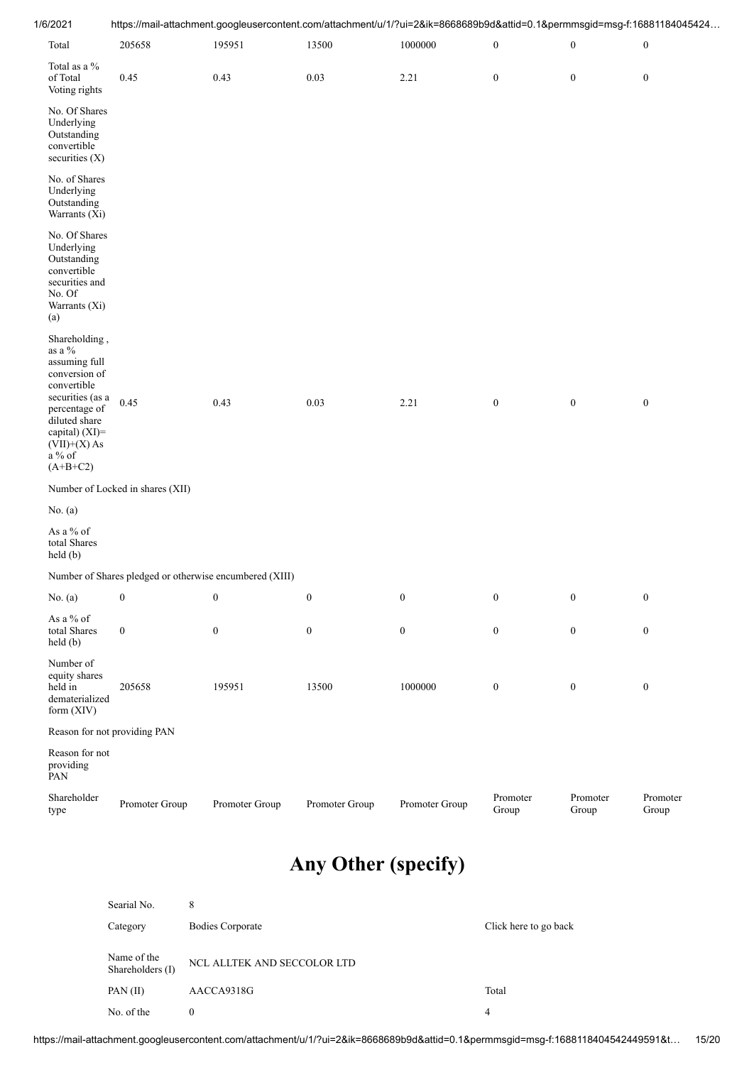| 1/6/2021                                                                                                         | https://mail-attachment.googleusercontent.com/attachment/u/1/?ui=2&ik=8668689b9d&attid=0.1&permmsgid=msg-f:16881184045424 |                  |                  |                  |                   |                   |                   |  |  |
|------------------------------------------------------------------------------------------------------------------|---------------------------------------------------------------------------------------------------------------------------|------------------|------------------|------------------|-------------------|-------------------|-------------------|--|--|
| Total                                                                                                            | 205658                                                                                                                    | 195951           | 13500            | 1000000          | $\boldsymbol{0}$  | $\boldsymbol{0}$  | $\boldsymbol{0}$  |  |  |
| Total as a %<br>of Total<br>Voting rights                                                                        | 0.45                                                                                                                      | 0.43             | 0.03             | 2.21             | $\boldsymbol{0}$  | $\boldsymbol{0}$  | $\boldsymbol{0}$  |  |  |
| No. Of Shares<br>Underlying<br>Outstanding<br>convertible<br>securities (X)                                      |                                                                                                                           |                  |                  |                  |                   |                   |                   |  |  |
| No. of Shares<br>Underlying<br>Outstanding<br>Warrants (Xi)                                                      |                                                                                                                           |                  |                  |                  |                   |                   |                   |  |  |
| No. Of Shares<br>Underlying<br>Outstanding<br>convertible<br>securities and<br>No. Of<br>Warrants (Xi)<br>(a)    |                                                                                                                           |                  |                  |                  |                   |                   |                   |  |  |
| Shareholding,<br>as a $\%$<br>assuming full<br>conversion of<br>convertible                                      |                                                                                                                           |                  |                  |                  |                   |                   |                   |  |  |
| securities (as a<br>percentage of<br>diluted share<br>capital) $(XI)=$<br>$(VII)+(X)$ As<br>a % of<br>$(A+B+C2)$ | 0.45                                                                                                                      | 0.43             | 0.03             | 2.21             | $\boldsymbol{0}$  | $\boldsymbol{0}$  | $\boldsymbol{0}$  |  |  |
|                                                                                                                  | Number of Locked in shares (XII)                                                                                          |                  |                  |                  |                   |                   |                   |  |  |
| No. $(a)$                                                                                                        |                                                                                                                           |                  |                  |                  |                   |                   |                   |  |  |
| As a % of<br>total Shares<br>held (b)                                                                            |                                                                                                                           |                  |                  |                  |                   |                   |                   |  |  |
|                                                                                                                  | Number of Shares pledged or otherwise encumbered (XIII)                                                                   |                  |                  |                  |                   |                   |                   |  |  |
| No. $(a)$                                                                                                        | $\boldsymbol{0}$                                                                                                          | $\boldsymbol{0}$ | $\boldsymbol{0}$ | $\boldsymbol{0}$ | $\boldsymbol{0}$  | $\boldsymbol{0}$  | $\boldsymbol{0}$  |  |  |
| As a % of<br>total Shares<br>held (b)                                                                            | $\boldsymbol{0}$                                                                                                          | $\boldsymbol{0}$ | $\mathbf{0}$     | $\boldsymbol{0}$ | $\boldsymbol{0}$  | $\boldsymbol{0}$  | $\boldsymbol{0}$  |  |  |
| Number of<br>equity shares<br>held in<br>dematerialized<br>form (XIV)                                            | 205658                                                                                                                    | 195951           | 13500            | 1000000          | $\bf{0}$          | $\boldsymbol{0}$  | $\boldsymbol{0}$  |  |  |
|                                                                                                                  | Reason for not providing PAN                                                                                              |                  |                  |                  |                   |                   |                   |  |  |
| Reason for not<br>providing<br>PAN                                                                               |                                                                                                                           |                  |                  |                  |                   |                   |                   |  |  |
| Shareholder<br>type                                                                                              | Promoter Group                                                                                                            | Promoter Group   | Promoter Group   | Promoter Group   | Promoter<br>Group | Promoter<br>Group | Promoter<br>Group |  |  |
|                                                                                                                  | <b>Any Other (specify)</b><br>Searial No.<br>8                                                                            |                  |                  |                  |                   |                   |                   |  |  |

| Category                        | <b>Bodies Corporate</b>     | Click here to go back |
|---------------------------------|-----------------------------|-----------------------|
| Name of the<br>Shareholders (I) | NCL ALLTEK AND SECCOLOR LTD |                       |
| PAN(II)                         | AACCA9318G                  | Total                 |
| No. of the                      |                             | 4                     |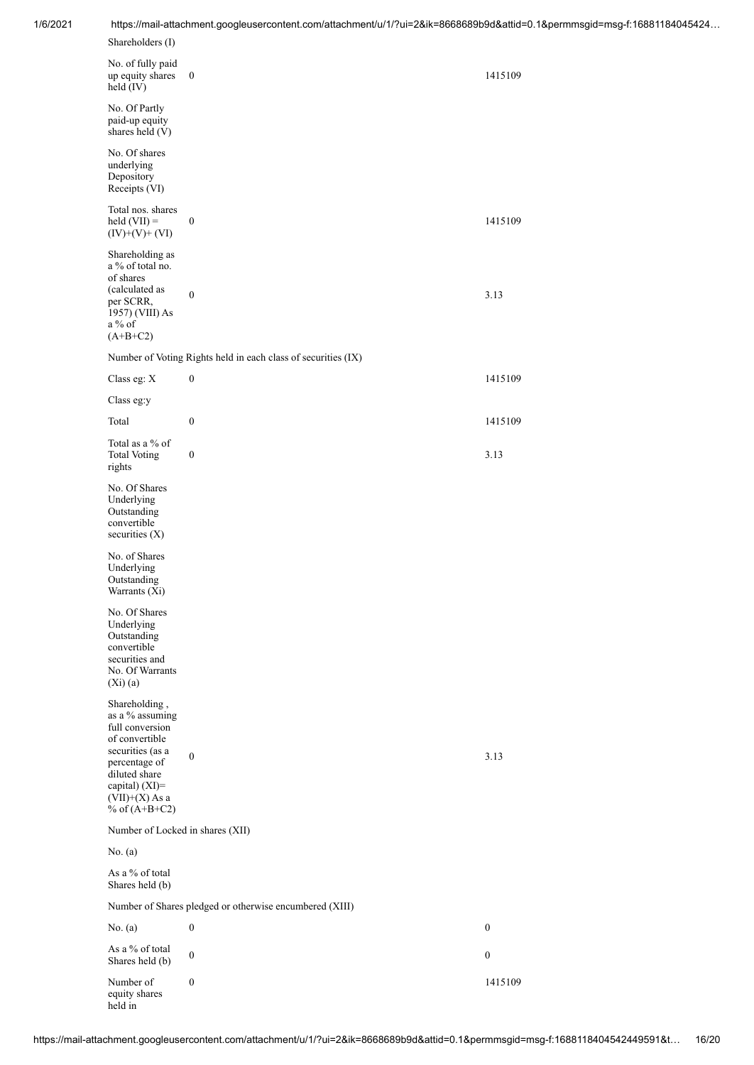| Shareholders (I)                                                                                                                                                                     |                                                               |                  |
|--------------------------------------------------------------------------------------------------------------------------------------------------------------------------------------|---------------------------------------------------------------|------------------|
| No. of fully paid<br>up equity shares<br>held (IV)                                                                                                                                   | $\bf{0}$                                                      | 1415109          |
| No. Of Partly<br>paid-up equity<br>shares held (V)                                                                                                                                   |                                                               |                  |
| No. Of shares<br>underlying<br>Depository<br>Receipts (VI)                                                                                                                           |                                                               |                  |
| Total nos. shares<br>$\text{held (VII)} =$<br>$(IV)+(V)+(VI)$                                                                                                                        | $\boldsymbol{0}$                                              | 1415109          |
| Shareholding as<br>a $\%$ of total no.<br>of shares<br>(calculated as<br>per SCRR,<br>1957) (VIII) As<br>a % of<br>$(A+B+C2)$                                                        | $\boldsymbol{0}$                                              | 3.13             |
|                                                                                                                                                                                      | Number of Voting Rights held in each class of securities (IX) |                  |
| Class eg: X                                                                                                                                                                          | $\boldsymbol{0}$                                              | 1415109          |
| Class eg:y                                                                                                                                                                           |                                                               |                  |
| Total                                                                                                                                                                                | $\boldsymbol{0}$                                              | 1415109          |
| Total as a $\%$ of<br><b>Total Voting</b><br>rights                                                                                                                                  | $\boldsymbol{0}$                                              | 3.13             |
| No. Of Shares<br>Underlying<br>Outstanding<br>convertible<br>securities (X)                                                                                                          |                                                               |                  |
| No. of Shares<br>Underlying<br>Outstanding<br>Warrants (Xi)                                                                                                                          |                                                               |                  |
| No. Of Shares<br>Underlying<br>Outstanding<br>convertible<br>securities and<br>No. Of Warrants<br>$(Xi)$ $(a)$                                                                       |                                                               |                  |
| Shareholding,<br>as a % assuming<br>full conversion<br>of convertible<br>securities (as a<br>percentage of<br>diluted share<br>capital) (XI)=<br>$(VII)+(X)$ As a<br>% of $(A+B+C2)$ | $\boldsymbol{0}$                                              | 3.13             |
| Number of Locked in shares (XII)                                                                                                                                                     |                                                               |                  |
| No. $(a)$                                                                                                                                                                            |                                                               |                  |
| As a % of total<br>Shares held (b)                                                                                                                                                   |                                                               |                  |
|                                                                                                                                                                                      | Number of Shares pledged or otherwise encumbered (XIII)       |                  |
| No. $(a)$                                                                                                                                                                            | $\boldsymbol{0}$                                              | $\boldsymbol{0}$ |
| As a % of total<br>Shares held (b)                                                                                                                                                   | $\boldsymbol{0}$                                              | $\boldsymbol{0}$ |
| Number of<br>equity shares<br>held in                                                                                                                                                | $\boldsymbol{0}$                                              | 1415109          |

1/6/2021 https://mail-attachment.googleusercontent.com/attachment/u/1/?ui=2&ik=8668689b9d&attid=0.1&permmsgid=msg-f:16881184045424…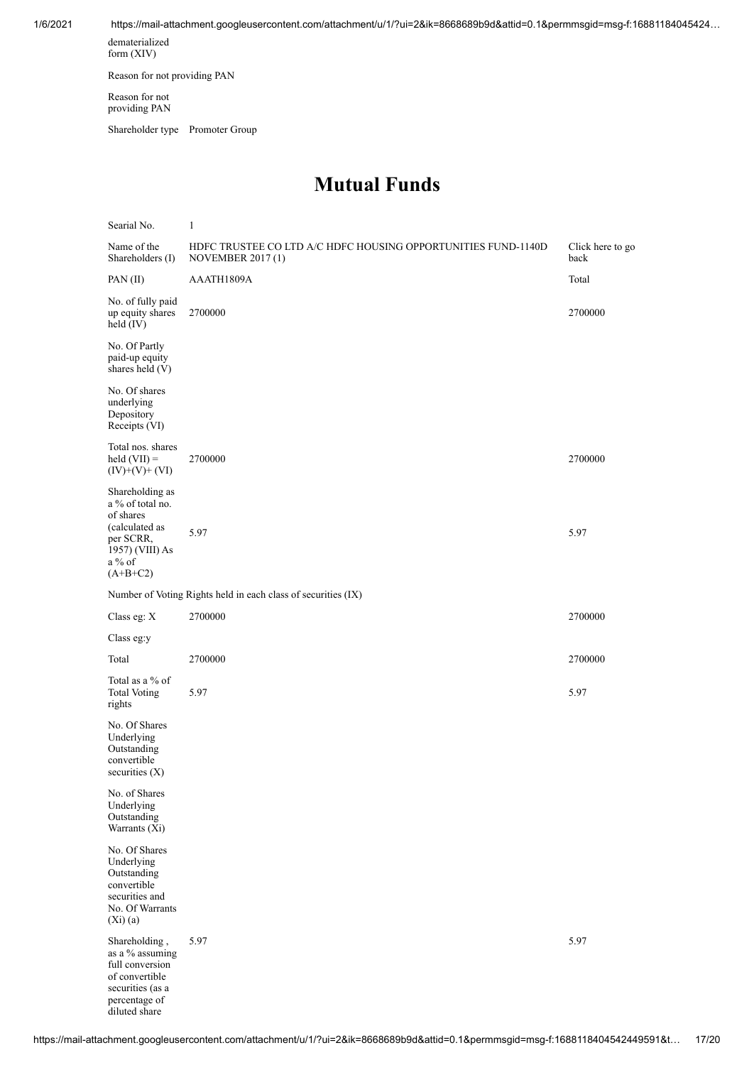1/6/2021 https://mail-attachment.googleusercontent.com/attachment/u/1/?ui=2&ik=8668689b9d&attid=0.1&permmsgid=msg-f:16881184045424… dematerialized

form (XIV)

Reason for not providing PAN

Reason for not providing PAN

Shareholder type Promoter Group

#### **Mutual Funds**

| Searial No.                                                                                                                 | $\mathbf{1}$                                                                              |                          |
|-----------------------------------------------------------------------------------------------------------------------------|-------------------------------------------------------------------------------------------|--------------------------|
| Name of the<br>Shareholders (I)                                                                                             | HDFC TRUSTEE CO LTD A/C HDFC HOUSING OPPORTUNITIES FUND-1140D<br><b>NOVEMBER 2017 (1)</b> | Click here to go<br>back |
| PAN (II)                                                                                                                    | AAATH1809A                                                                                | Total                    |
| No. of fully paid<br>up equity shares<br>held $(IV)$                                                                        | 2700000                                                                                   | 2700000                  |
| No. Of Partly<br>paid-up equity<br>shares held (V)                                                                          |                                                                                           |                          |
| No. Of shares<br>underlying<br>Depository<br>Receipts (VI)                                                                  |                                                                                           |                          |
| Total nos. shares<br>$\text{held (VII)} =$<br>$(IV)+(V)+(VI)$                                                               | 2700000                                                                                   | 2700000                  |
| Shareholding as<br>a % of total no.<br>of shares                                                                            |                                                                                           |                          |
| (calculated as<br>per SCRR,<br>1957) (VIII) As<br>a % of<br>$(A+B+C2)$                                                      | 5.97                                                                                      | 5.97                     |
|                                                                                                                             | Number of Voting Rights held in each class of securities (IX)                             |                          |
| Class eg: X                                                                                                                 | 2700000                                                                                   | 2700000                  |
| Class eg:y                                                                                                                  |                                                                                           |                          |
| Total                                                                                                                       | 2700000                                                                                   | 2700000                  |
| Total as a $\%$ of<br><b>Total Voting</b><br>rights                                                                         | 5.97                                                                                      | 5.97                     |
| No. Of Shares<br>Underlying<br>Outstanding<br>convertible<br>securities $(X)$                                               |                                                                                           |                          |
| No. of Shares<br>Underlying<br>Outstanding<br>Warrants (Xi)                                                                 |                                                                                           |                          |
| No. Of Shares<br>Underlying<br>Outstanding<br>convertible<br>securities and<br>No. Of Warrants<br>$(X_i)(a)$                |                                                                                           |                          |
| Shareholding,<br>as a % assuming<br>full conversion<br>of convertible<br>securities (as a<br>percentage of<br>diluted share | 5.97                                                                                      | 5.97                     |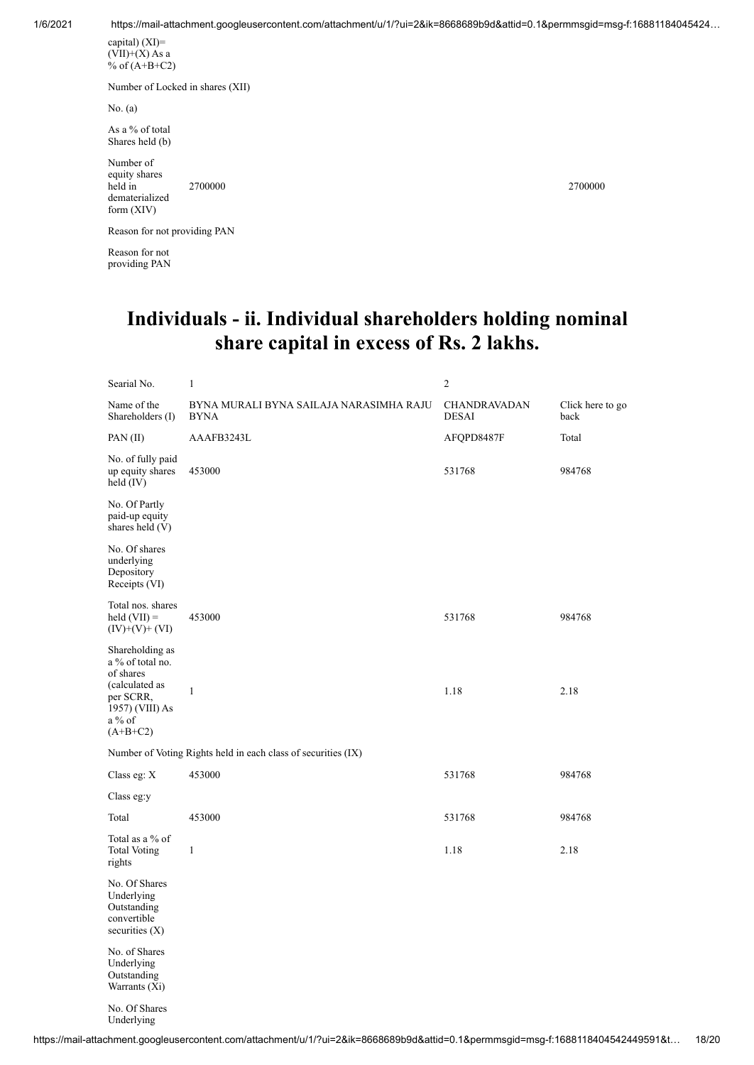1/6/2021 https://mail-attachment.googleusercontent.com/attachment/u/1/?ui=2&ik=8668689b9d&attid=0.1&permmsgid=msg-f:16881184045424…

capital) (XI)=  $(\overrightarrow{VII})+(X)$  As a % of (A+B+C2)

Number of Locked in shares (XII)

No. (a)

As a % of total Shares held (b)

Number of equity shares held in dematerialized form (XIV)

Reason for not providing PAN

Reason for not providing PAN 2700000 2700000

#### **Individuals - ii. Individual shareholders holding nominal share capital in excess of Rs. 2 lakhs.**

| Searial No.                                                                                                                  | $\mathbf{1}$                                                  | $\overline{c}$               |                          |
|------------------------------------------------------------------------------------------------------------------------------|---------------------------------------------------------------|------------------------------|--------------------------|
| Name of the<br>Shareholders (I)                                                                                              | BYNA MURALI BYNA SAILAJA NARASIMHA RAJU<br><b>BYNA</b>        | CHANDRAVADAN<br><b>DESAI</b> | Click here to go<br>back |
| PAN(II)                                                                                                                      | AAAFB3243L                                                    | AFQPD8487F                   | Total                    |
| No. of fully paid<br>up equity shares<br>held $(IV)$                                                                         | 453000                                                        | 531768                       | 984768                   |
| No. Of Partly<br>paid-up equity<br>shares held (V)                                                                           |                                                               |                              |                          |
| No. Of shares<br>underlying<br>Depository<br>Receipts (VI)                                                                   |                                                               |                              |                          |
| Total nos. shares<br>held $(VII) =$<br>$(IV)+(V)+(VI)$                                                                       | 453000                                                        | 531768                       | 984768                   |
| Shareholding as<br>a % of total no.<br>of shares<br>(calculated as<br>per SCRR,<br>1957) (VIII) As<br>$a\%$ of<br>$(A+B+C2)$ | $\mathbf{1}$                                                  | 1.18                         | 2.18                     |
|                                                                                                                              | Number of Voting Rights held in each class of securities (IX) |                              |                          |
| Class eg: X                                                                                                                  | 453000                                                        | 531768                       | 984768                   |
| Class eg:y                                                                                                                   |                                                               |                              |                          |
| Total                                                                                                                        | 453000                                                        | 531768                       | 984768                   |
| Total as a % of<br><b>Total Voting</b><br>rights                                                                             | $\mathbf{1}$                                                  | 1.18                         | 2.18                     |
| No. Of Shares<br>Underlying<br>Outstanding<br>convertible<br>securities $(X)$                                                |                                                               |                              |                          |
| No. of Shares<br>Underlying<br>Outstanding<br>Warrants (Xi)                                                                  |                                                               |                              |                          |
| No. Of Shares<br>Underlying                                                                                                  |                                                               |                              |                          |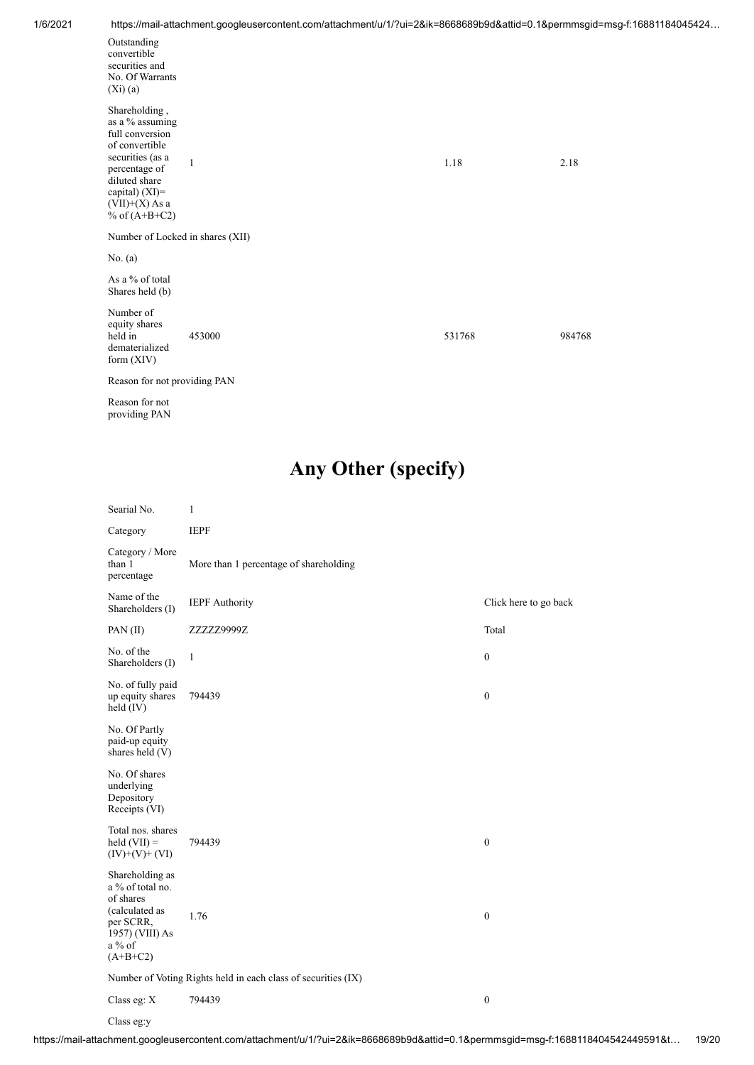|  | 1/6/2021 |  |
|--|----------|--|
|  |          |  |

|                                                                                                                                                                                         | https://mail-attachment.googleusercontent.com/attachment/u/1/7ul=2&ik=8008089D90&attid=0.1&permmsgid=msg-i11688118 |        |        |
|-----------------------------------------------------------------------------------------------------------------------------------------------------------------------------------------|--------------------------------------------------------------------------------------------------------------------|--------|--------|
| Outstanding<br>convertible<br>securities and<br>No. Of Warrants<br>$(X_i)(a)$                                                                                                           |                                                                                                                    |        |        |
| Shareholding,<br>as a % assuming<br>full conversion<br>of convertible<br>securities (as a<br>percentage of<br>diluted share<br>capital) $(XI)$ =<br>$(VII)+(X)$ As a<br>% of $(A+B+C2)$ | $\mathbf{1}$                                                                                                       | 1.18   | 2.18   |
| Number of Locked in shares (XII)                                                                                                                                                        |                                                                                                                    |        |        |
| No. $(a)$                                                                                                                                                                               |                                                                                                                    |        |        |
| As a % of total<br>Shares held (b)                                                                                                                                                      |                                                                                                                    |        |        |
| Number of<br>equity shares<br>held in<br>dematerialized<br>form $(XIV)$                                                                                                                 | 453000                                                                                                             | 531768 | 984768 |
| Reason for not providing PAN                                                                                                                                                            |                                                                                                                    |        |        |
| $\mathbf{n}$ $\mathbf{r}$ $\mathbf{r}$                                                                                                                                                  |                                                                                                                    |        |        |

Reason for not providing PAN

# **Any Other (specify)**

| Searial No.                                                                                                                  | 1                                                             |                       |  |  |  |  |
|------------------------------------------------------------------------------------------------------------------------------|---------------------------------------------------------------|-----------------------|--|--|--|--|
| Category                                                                                                                     | <b>IEPF</b>                                                   |                       |  |  |  |  |
| Category / More<br>than 1<br>percentage                                                                                      | More than 1 percentage of shareholding                        |                       |  |  |  |  |
| Name of the<br>Shareholders (I)                                                                                              | <b>IEPF</b> Authority                                         | Click here to go back |  |  |  |  |
| PAN (II)                                                                                                                     | ZZZZZ9999Z                                                    | Total                 |  |  |  |  |
| No. of the<br>Shareholders (I)                                                                                               | 1                                                             | $\boldsymbol{0}$      |  |  |  |  |
| No. of fully paid<br>up equity shares<br>held $(IV)$                                                                         | 794439                                                        | $\boldsymbol{0}$      |  |  |  |  |
| No. Of Partly<br>paid-up equity<br>shares held (V)                                                                           |                                                               |                       |  |  |  |  |
| No. Of shares<br>underlying<br>Depository<br>Receipts (VI)                                                                   |                                                               |                       |  |  |  |  |
| Total nos. shares<br>held $(VII)$ =<br>$(IV)+(V)+(VI)$                                                                       | 794439                                                        | $\boldsymbol{0}$      |  |  |  |  |
| Shareholding as<br>a % of total no.<br>of shares<br>(calculated as<br>per SCRR,<br>1957) (VIII) As<br>$a\%$ of<br>$(A+B+C2)$ | 1.76                                                          | $\boldsymbol{0}$      |  |  |  |  |
|                                                                                                                              | Number of Voting Rights held in each class of securities (IX) |                       |  |  |  |  |
| Class eg: X                                                                                                                  | 794439                                                        | $\boldsymbol{0}$      |  |  |  |  |

Class eg:y